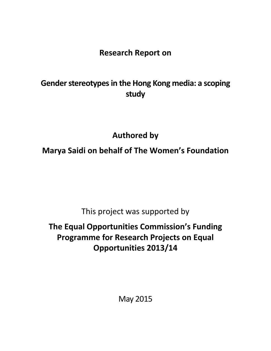**Research Report on**

# **Gender stereotypes in the Hong Kong media: a scoping study**

**Authored by**

**Marya Saidi on behalf of The Women's Foundation**

This project was supported by

# **The Equal Opportunities Commission's Funding Programme for Research Projects on Equal Opportunities 2013/14**

May 2015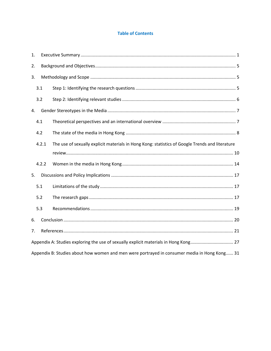## **Table of Contents**

| 1.                                                                                                       |
|----------------------------------------------------------------------------------------------------------|
| 2.                                                                                                       |
| 3.                                                                                                       |
| 3.1                                                                                                      |
| 3.2                                                                                                      |
| 4.                                                                                                       |
| 4.1                                                                                                      |
| 4.2                                                                                                      |
| The use of sexually explicit materials in Hong Kong: statistics of Google Trends and literature<br>4.2.1 |
|                                                                                                          |
| 4.2.2                                                                                                    |
| 5.                                                                                                       |
| 5.1                                                                                                      |
| 5.2                                                                                                      |
| 5.3                                                                                                      |
| 6.                                                                                                       |
| 7.                                                                                                       |
| Appendix A: Studies exploring the use of sexually explicit materials in Hong Kong 27                     |
| Appendix B: Studies about how women and men were portrayed in consumer media in Hong Kong 31             |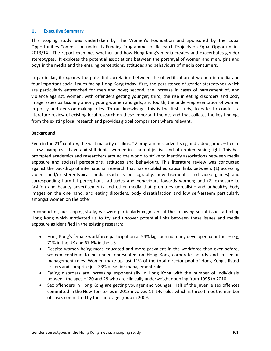## <span id="page-2-0"></span>**1. Executive Summary**

This scoping study was undertaken by The Women's Foundation and sponsored by the Equal Opportunities Commission under its Funding Programme for Research Projects on Equal Opportunities 2013/14. The report examines whether and how Hong Kong's media creates and exacerbates gender stereotypes. It explores the potential associations between the portrayal of women and men, girls and boys in the media and the ensuing perceptions, attitudes and behaviours of media consumers.

In particular, it explores the potential correlation between the objectification of women in media and four important social issues facing Hong Kong today: first, the persistence of gender stereotypes which are particularly entrenched for men and boys; second, the increase in cases of harassment of, and violence against, women, with offenders getting younger; third, the rise in eating disorders and body image issues particularly among young women and girls; and fourth, the under-representation of women in policy and decision-making roles. To our knowledge, this is the first study, to date, to conduct a literature review of existing local research on these important themes and that collates the key findings from the existing local research and provides global comparisons where relevant.

#### **Background**

Even in the 21<sup>st</sup> century, the vast majority of films, TV programmes, advertising and video games – to cite a few examples – have and still depict women in a non-objective and often demeaning light. This has prompted academics and researchers around the world to strive to identify associations between media exposure and societal perceptions, attitudes and behaviours. This literature review was conducted against the backdrop of international research that has established causal links between: (1) accessing violent and/or stereotypical media (such as pornography, advertisements, and video games) and corresponding harmful perceptions, attitudes and behaviours towards women; and (2) exposure to fashion and beauty advertisements and other media that promotes unrealistic and unhealthy body images on the one hand, and eating disorders, body dissatisfaction and low self-esteem particularly amongst women on the other.

In conducting our scoping study, we were particularly cognisant of the following social issues affecting Hong Kong which motivated us to try and uncover potential links between these issues and media exposure as identified in the existing research:

- Hong Kong's female workforce participation at 54% lags behind many developed countries e.g, 71% in the UK and 67.6% in the US
- Despite women being more educated and more prevalent in the workforce than ever before, women continue to be under-represented on Hong Kong corporate boards and in senior management roles. Women make up just 11% of the total director pool of Hong Kong's listed issuers and comprise just 33% of senior management roles.
- Eating disorders are increasing exponentially in Hong Kong with the number of individuals between the ages of 20 and 29 who are clinically underweight doubling from 1995 to 2010.
- Sex offenders in Hong Kong are getting younger and younger. Half of the juvenile sex offences committed in the New Territories in 2013 involved 11-14yr olds which is three times the number of cases committed by the same age group in 2009.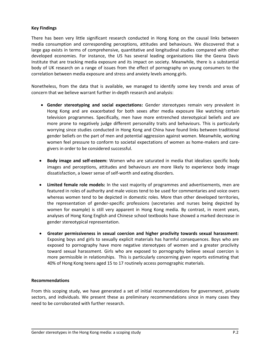#### **Key Findings**

There has been very little significant research conducted in Hong Kong on the causal links between media consumption and corresponding perceptions, attitudes and behaviours. We discovered that a large gap exists in terms of comprehensive, quantitative and longitudinal studies compared with other developed economies. For instance, the US has several leading organisations like the Geena Davis Institute that are tracking media exposure and its impact on society. Meanwhile, there is a substantial body of UK research on a range of issues from the effect of pornography on young consumers to the correlation between media exposure and stress and anxiety levels among girls.

Nonetheless, from the data that is available, we managed to identify some key trends and areas of concern that we believe warrant further in-depth research and analysis:

- **Gender stereotyping and social expectations:** Gender stereotypes remain very prevalent in Hong Kong and are exacerbated for both sexes after media exposure like watching certain television programmes. Specifically, men have more entrenched stereotypical beliefs and are more prone to negatively judge different personality traits and behaviours. This is particularly worrying since studies conducted in Hong Kong and China have found links between traditional gender beliefs on the part of men and potential aggression against women. Meanwhile, working women feel pressure to conform to societal expectations of women as home-makers and caregivers in order to be considered successful.
- **Body image and self-esteem:** Women who are saturated in media that idealises specific body images and perceptions, attitudes and behaviours are more likely to experience body image dissatisfaction, a lower sense of self-worth and eating disorders.
- **Limited female role models:** In the vast majority of programmes and advertisements, men are featured in roles of authority and male voices tend to be used for commentaries and voice overs whereas women tend to be depicted in domestic roles. More than other developed territories, the representation of gender-specific professions (secretaries and nurses being depicted by women for example) is still very apparent in Hong Kong media. By contrast, in recent years, analyses of Hong Kong English and Chinese school textbooks have showed a marked decrease in gender stereotypical representation.
- **Greater permissiveness in sexual coercion and higher proclivity towards sexual harassment:**  Exposing boys and girls to sexually explicit materials has harmful consequences. Boys who are exposed to pornography have more negative stereotypes of women and a greater proclivity toward sexual harassment. Girls who are exposed to pornography believe sexual coercion is more permissible in relationships. This is particularly concerning given reports estimating that 40% of Hong Kong teens aged 15 to 17 routinely access pornographic materials.

#### **Recommendations**

From this scoping study, we have generated a set of initial recommendations for government, private sectors, and individuals. We present these as preliminary recommendations since in many cases they need to be corroborated with further research.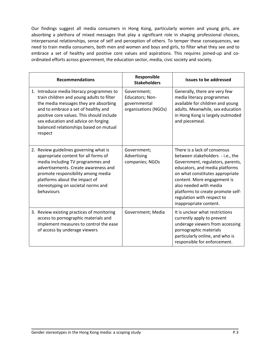Our findings suggest all media consumers in Hong Kong, particularly women and young girls, are absorbing a plethora of mixed messages that play a significant role in shaping professional choices, interpersonal relationships, sense of self and perception of others. To temper these consequences, we need to train media consumers, both men and women and boys and girls, to filter what they see and to embrace a set of healthy and positive core values and aspirations. This requires joined-up and coordinated efforts across government, the education sector, media, civic society and society.

| <b>Recommendations</b>                                                                                                                                                                                                                                                                                          | Responsible<br><b>Stakeholders</b>                                     | <b>Issues to be addressed</b>                                                                                                                                                                                                                                                                                                   |
|-----------------------------------------------------------------------------------------------------------------------------------------------------------------------------------------------------------------------------------------------------------------------------------------------------------------|------------------------------------------------------------------------|---------------------------------------------------------------------------------------------------------------------------------------------------------------------------------------------------------------------------------------------------------------------------------------------------------------------------------|
| 1. Introduce media literacy programmes to<br>train children and young adults to filter<br>the media messages they are absorbing<br>and to embrace a set of healthy and<br>positive core values. This should include<br>sex education and advice on forging<br>balanced relationships based on mutual<br>respect | Government;<br>Educators; Non-<br>governmental<br>organisations (NGOs) | Generally, there are very few<br>media literacy programmes<br>available for children and young<br>adults. Meanwhile, sex education<br>in Hong Kong is largely outmoded<br>and piecemeal.                                                                                                                                        |
| 2. Review guidelines governing what is<br>appropriate content for all forms of<br>media including TV programmes and<br>advertisements. Create awareness and<br>promote responsibility among media<br>platforms about the impact of<br>stereotyping on societal norms and<br>behaviours                          | Government;<br>Advertising<br>companies; NGOs                          | There is a lack of consensus<br>between stakeholders - i.e., the<br>Government, regulators, parents,<br>educators, and media platforms<br>on what constitutes appropriate<br>content. More engagement is<br>also needed with media<br>platforms to create promote self-<br>regulation with respect to<br>inappropriate content. |
| 3. Review existing practices of monitoring<br>access to pornographic materials and<br>implement measures to control the ease<br>of access by underage viewers                                                                                                                                                   | Government; Media                                                      | It is unclear what restrictions<br>currently apply to prevent<br>underage viewers from accessing<br>pornographic materials<br>particularly online, and who is<br>responsible for enforcement.                                                                                                                                   |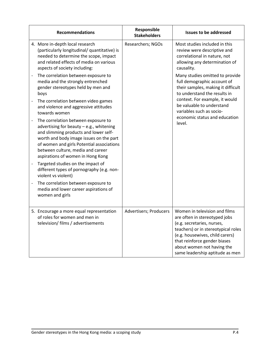| <b>Recommendations</b>                                                                                                                                                                                                                                                                                            | Responsible<br><b>Stakeholders</b> |                                                                                                                                                                                                                                                                         |
|-------------------------------------------------------------------------------------------------------------------------------------------------------------------------------------------------------------------------------------------------------------------------------------------------------------------|------------------------------------|-------------------------------------------------------------------------------------------------------------------------------------------------------------------------------------------------------------------------------------------------------------------------|
| 4. More in-depth local research<br>(particularly longitudinal/ quantitative) is<br>needed to determine the scope, impact<br>and related effects of media on various<br>aspects of society including:                                                                                                              | Researchers; NGOs                  | Most studies included in this<br>review were descriptive and<br>correlational in nature, not<br>allowing any determination of<br>causality.                                                                                                                             |
| The correlation between exposure to<br>$\qquad \qquad -$<br>media and the strongly entrenched<br>gender stereotypes held by men and<br>boys                                                                                                                                                                       |                                    | Many studies omitted to provide<br>full demographic account of<br>their samples, making it difficult<br>to understand the results in                                                                                                                                    |
| The correlation between video games<br>$\overline{a}$<br>and violence and aggressive attitudes<br>towards women                                                                                                                                                                                                   |                                    | context. For example, it would<br>be valuable to understand<br>variables such as socio-<br>economic status and education                                                                                                                                                |
| The correlation between exposure to<br>$\qquad \qquad -$<br>advertising for beauty $-$ e.g., whitening<br>and slimming products and lower self-<br>worth and body image issues on the part<br>of women and girls Potential associations<br>between culture, media and career<br>aspirations of women in Hong Kong |                                    | level.                                                                                                                                                                                                                                                                  |
| Targeted studies on the impact of<br>$\qquad \qquad -$<br>different types of pornography (e.g. non-<br>violent vs violent)                                                                                                                                                                                        |                                    |                                                                                                                                                                                                                                                                         |
| The correlation between exposure to<br>$\overline{a}$<br>media and lower career aspirations of<br>women and girls                                                                                                                                                                                                 |                                    |                                                                                                                                                                                                                                                                         |
| 5. Encourage a more equal representation<br>of roles for women and men in<br>television/ films / advertisements                                                                                                                                                                                                   | <b>Advertisers; Producers</b>      | Women in television and films<br>are often in stereotyped jobs<br>(e.g. secretaries, nurses,<br>teachers) or in stereotypical roles<br>(e.g. housewives, child carers)<br>that reinforce gender biases<br>about women not having the<br>same leadership aptitude as men |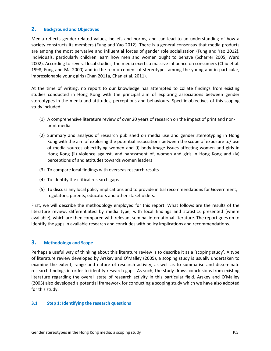## <span id="page-6-0"></span>**2. Background and Objectives**

Media reflects gender-related values, beliefs and norms, and can lead to an understanding of how a society constructs its members (Fung and Yao 2012). There is a general consensus that media products are among the most pervasive and influential forces of gender role socialisation (Fung and Yao 2012). Individuals, particularly children learn how men and women ought to behave (Scharrer 2005, Ward 2002). According to several local studies, the media exerts a massive influence on consumers (Chiu et al. 1998, Fung and Ma 2000) and in the reinforcement of stereotypes among the young and in particular, impressionable young girls (Chan 2011a, Chan et al. 2011).

At the time of writing, no report to our knowledge has attempted to collate findings from existing studies conducted in Hong Kong with the principal aim of exploring associations between gender stereotypes in the media and attitudes, perceptions and behaviours. Specific objectives of this scoping study included:

- (1) A comprehensive literature review of over 20 years of research on the impact of print and nonprint media
- (2) Summary and analysis of research published on media use and gender stereotyping in Hong Kong with the aim of exploring the potential associations between the scope of exposure to/ use of media sources objectifying women and (i) body image issues affecting women and girls in Hong Kong (ii) violence against, and harassment of, women and girls in Hong Kong and (iv) perceptions of and attitudes towards women leaders
- (3) To compare local findings with overseas research results
- (4) To identify the critical research gaps
- (5) To discuss any local policy implications and to provide initial recommendations for Government, regulators, parents, educators and other stakeholders.

First, we will describe the methodology employed for this report. What follows are the results of the literature review, differentiated by media type, with local findings and statistics presented (where available), which are then compared with relevant seminal international literature. The report goes on to identify the gaps in available research and concludes with policy implications and recommendations.

## <span id="page-6-1"></span>**3. Methodology and Scope**

Perhaps a useful way of thinking about this literature review is to describe it as a 'scoping study'. A type of literature review developed by Arskey and O'Malley (2005), a scoping study is usually undertaken to examine the extent, range and nature of research activity, as well as to summarise and disseminate research findings in order to identify research gaps. As such, the study draws conclusions from existing literature regarding the overall state of research activity in this particular field. Arskey and O'Malley (2005) also developed a potential framework for conducting a scoping study which we have also adopted for this study.

#### <span id="page-6-2"></span>**3.1 Step 1: Identifying the research questions**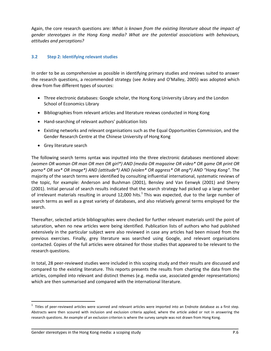Again, the core research questions are: *What is known from the existing literature about the impact of gender stereotypes in the Hong Kong media? What are the potential associations with behaviours, attitudes and perceptions?*

#### <span id="page-7-0"></span>**3.2 Step 2: Identifying relevant studies**

In order to be as comprehensive as possible in identifying primary studies and reviews suited to answer the research questions, a recommended strategy (see Arskey and O'Malley, 2005) was adopted which drew from five different types of sources:

- Three electronic databases: Google scholar, the Hong Kong University Library and the London School of Economics Library
- Bibliographies from relevant articles and literature reviews conducted in Hong Kong
- Hand-searching of relevant authors' publication lists
- Existing networks and relevant organisations such as the Equal Opportunities Commission, and the Gender Research Centre at the Chinese University of Hong Kong
- Grey literature search

The following search terms syntax was inputted into the three electronic databases mentioned above: *(women OR woman OR man OR men OR girl\*) AND (media OR magazine OR video\* OR game OR print OR porno\* OR sex\* OR image\*) AND (attitude\*) AND (violen\* OR aggress\* OR ang\*) AND "Hong Kong"*. The majority of the search terms were identified by consulting influential international, systematic reviews of the topic, for example: Anderson and Bushman (2001), Bensley and Van Eenwyk (2001) and Sherry (2001). Initial perusal of search results indicated that the search strategy had picked up a large number of irrelevant materials resulting in around 12,000 hits.<sup>1</sup> This was expected, due to the large number of search terms as well as a great variety of databases, and also relatively general terms employed for the search.

Thereafter, selected article bibliographies were checked for further relevant materials until the point of saturation, when no new articles were being identified. Publication lists of authors who had published extensively in the particular subject were also reviewed in case any articles had been missed from the previous exercises. Finally, grey literature was searched using Google, and relevant organisations contacted. Copies of the full articles were obtained for those studies that appeared to be relevant to the research questions.

In total, 28 peer-reviewed studies were included in this scoping study and their results are discussed and compared to the existing literature. This reports presents the results from charting the data from the articles, compiled into relevant and distinct themes (e.g. media use, associated gender representations) which are then summarised and compared with the international literature.

 $\overline{\phantom{a}}$ 

 $^1$  Titles of peer-reviewed articles were scanned and relevant articles were imported into an Endnote database as a first step. Abstracts were then scoured with inclusion and exclusion criteria applied, where the article aided or not in answering the research questions. An example of an exclusion criterion is where the survey sample was not drawn from Hong Kong.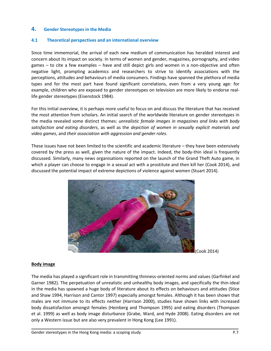## <span id="page-8-0"></span>**4. Gender Stereotypes in the Media**

#### <span id="page-8-1"></span>**4.1 Theoretical perspectives and an international overview**

Since time immemorial, the arrival of each new medium of communication has heralded interest and concern about its impact on society. In terms of women and gender, magazines, pornography, and video games – to cite a few examples – have and still depict girls and women in a non-objective and often negative light, prompting academics and researchers to strive to identify associations with the perceptions, attitudes and behaviours of media consumers. Findings have spanned the plethora of media types and for the most part have found significant correlations, even from a very young age: for example, children who are exposed to gender stereotypes on television are more likely to endorse reallife gender stereotypes (Eisenstock 1984).

For this initial overview, it is perhaps more useful to focus on and discuss the literature that has received the most attention from scholars. An initial search of the worldwide literature on gender stereotypes in the media revealed some distinct themes: *unrealistic female images in magazines and links with body satisfaction and eating disorders*, as well as the *depiction of women in sexually explicit materials and video games*, and *their association with aggression and gender roles*.

These issues have not been limited to the scientific and academic literature – they have been extensively covered by the press as well, given the nature of the impact. Indeed, the body-thin ideal is frequently discussed. Similarly, many news organisations reported on the launch of the Grand Theft Auto game, in which a player can choose to engage in a sexual act with a prostitute and then kill her (Cook 2014), and discussed the potential impact of extreme depictions of violence against women (Stuart 2014).



(Cook 2014)

#### **Body image**

The media has played a significant role in transmitting thinness-oriented norms and values (Garfinkel and Garner 1982). The perpetuation of unrealistic and unhealthy body images, and specifically the thin-ideal in the media has spawned a huge body of literature about its effects on behaviours and attitudes (Stice and Shaw 1994, Harrison and Cantor 1997) especially amongst females. Although it has been shown that males are not immune to its effects neither (Harrison 2000), studies have shown links with increased body dissatisfaction amongst females (Heinberg and Thompson 1995) and eating disorders (Thompson et al. 1999) as well as body image disturbance (Grabe, Ward, and Hyde 2008). Eating disorders are not only a Western issue but are also very prevalent in Hong Kong (Lee 1991).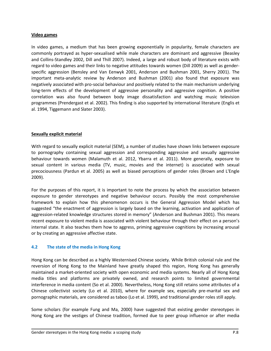#### **Video games**

In video games, a medium that has been growing exponentially in popularity, female characters are commonly portrayed as hyper-sexualised while male characters are dominant and aggressive (Beasley and Collins-Standley 2002, Dill and Thill 2007). Indeed, a large and robust body of literature exists with regard to video games and their links to negative attitudes towards women (Dill 2009) as well as genderspecific aggression (Bensley and Van Eenwyk 2001, Anderson and Bushman 2001, Sherry 2001). The important meta-analytic review by Anderson and Bushman (2001) also found that exposure was negatively associated with pro-social behaviour and positively related to the main mechanism underlying long-term effects of the development of aggressive personality and aggressive cognition. A positive correlation was also found between body image dissatisfaction and watching music television programmes (Prendergast et al. 2002). This finding is also supported by international literature (Englis et al. 1994, Tiggemann and Slater 2003).

#### **Sexually explicit material**

With regard to sexually explicit material (SEM), a number of studies have shown links between exposure to pornography containing sexual aggression and corresponding aggressive and sexually aggressive behaviour towards women (Malamuth et al. 2012, Ybarra et al. 2011). More generally, exposure to sexual content in various media (TV, music, movies and the internet) is associated with sexual precociousness (Pardun et al. 2005) as well as biased perceptions of gender roles (Brown and L'Engle 2009).

For the purposes of this report, it is important to note the process by which the association between exposure to gender stereotypes and negative behaviour occurs. Possibly the most comprehensive framework to explain how this phenomenon occurs is the General Aggression Model which has suggested "the enactment of aggression is largely based on the learning, activation and application of aggression-related knowledge structures stored in memory" (Anderson and Bushman 2001). This means recent exposure to violent media is associated with violent behaviour through their effect on a person's internal state. It also teaches them how to aggress, priming aggressive cognitions by increasing arousal or by creating an aggressive affective state.

#### <span id="page-9-0"></span>**4.2 The state of the media in Hong Kong**

Hong Kong can be described as a highly Westernised Chinese society. While British colonial rule and the reversion of Hong Kong to the Mainland have greatly shaped this region, Hong Kong has generally maintained a market-oriented society with open economic and media systems. Nearly all of Hong Kong media titles and platforms are privately owned, and research points to limited governmental interference in media content (So et al. 2000). Nevertheless, Hong Kong still retains some attributes of a Chinese collectivist society (Lo et al. 2010), where for example sex, especially pre-marital sex and pornographic materials, are considered as taboo (Lo et al. 1999), and traditional gender roles still apply.

Some scholars (for example Fung and Ma, 2000) have suggested that existing gender stereotypes in Hong Kong are the vestiges of Chinese tradition, formed due to peer group influence or after media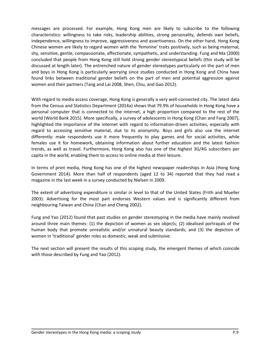messages are processed. For example, Hong Kong men are likely to subscribe to the following characteristics: willingness to take risks, leadership abilities, strong personality, defends own beliefs, independence, willingness to improve, aggressiveness and assertiveness. On the other hand, Hong Kong Chinese women are likely to regard women with the 'feminine' traits positively, such as being maternal, shy, sensitive, gentle, compassionate, affectionate, sympathetic, and understanding. Fung and Ma (2000) concluded that people from Hong Kong still hold strong gender stereotypical beliefs (this study will be discussed at length later). The entrenched nature of gender stereotypes particularly on the part of men and boys in Hong Kong is particularly worrying since studies conducted in Hong Kong and China have found links between traditional gender beliefs on the part of men and potential aggression against women and their partners (Tang and Lai 2008, Shen, Chiu, and Gao 2012).

With regard to media access coverage, Hong Kong is generally a very well-connected city. The latest data from the Census and Statistics Department (2014a) shows that 79.9% of households in Hong Kong have a personal computer that is connected to the internet, a high proportion compared to the rest of the world (World Bank 2015). More specifically, a survey of adolescents in Hong Kong (Chan and Fang 2007), highlighted the importance of the internet with regard to information-driven activities, especially with regard to accessing sensitive material, due to its anonymity. Boys and girls also use the internet differently: male respondents use it more frequently to play games and for social activities, while females use it for homework, obtaining information about further education and the latest fashion trends, as well as travel. Furthermore, Hong Kong also has one of the highest 3G/4G subscribers per capita in the world, enabling them to access to online media at their leisure.

In terms of print media, Hong Kong has one of the highest newspaper readerships in Asia (Hong Kong Government 2014). More than half of respondents (aged 12 to 34) reported that they had read a magazine in the last week in a survey conducted by Nielsen in 2009.

The extent of advertising expenditure is similar in level to that of the United States (Frith and Mueller 2003). Advertising for the most part endorses Western values and is significantly different from neighbouring Taiwan and China (Chan and Cheng 2002).

Fung and Yao (2012) found that past studies on gender stereotyping in the media have mainly revolved around three main themes: (1) the depiction of women as sex objects; (2) idealised portrayals of the human body that promote unrealistic and/or unnatural beauty standards; and (3) the depiction of women in 'traditional' gender roles as domestic, weak and submissive.

The next section will present the results of this scoping study, the emergent themes of which coincide with those described by Fung and Yao (2012).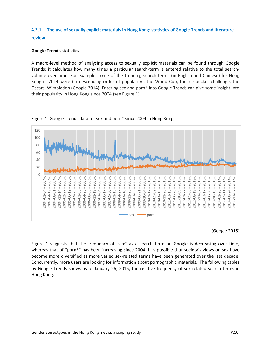# <span id="page-11-0"></span>**4.2.1 The use of sexually explicit materials in Hong Kong: statistics of Google Trends and literature review**

## **Google Trends statistics**

A macro-level method of analysing access to sexually explicit materials can be found through Google Trends: it calculates how many times a particular search-term is entered relative to the total searchvolume over time. For example, some of the trending search terms (in English and Chinese) for Hong Kong in 2014 were (in descending order of popularity): the World Cup, the ice bucket challenge, the Oscars, Wimbledon (Google 2014). Entering sex and porn\* into Google Trends can give some insight into their popularity in Hong Kong since 2004 (see Figure 1).



Figure 1: Google Trends data for sex and porn\* since 2004 in Hong Kong

#### (Google 2015)

Figure 1 suggests that the frequency of "sex" as a search term on Google is decreasing over time, whereas that of "porn\*" has been increasing since 2004. It is possible that society's views on sex have become more diversified as more varied sex-related terms have been generated over the last decade. Concurrently, more users are looking for information about pornographic materials. The following tables by Google Trends shows as of January 26, 2015, the relative frequency of sex-related search terms in Hong Kong: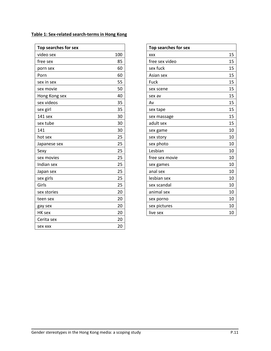| <b>Top searches for sex</b> |     |
|-----------------------------|-----|
| video sex                   | 100 |
| free sex                    | 85  |
| porn sex                    | 60  |
| Porn                        | 60  |
| sex in sex                  | 55  |
| sex movie                   | 50  |
| Hong Kong sex               | 40  |
| sex videos                  | 35  |
| sex girl                    | 35  |
| 141 sex                     | 30  |
| sex tube                    | 30  |
| 141                         | 30  |
| hot sex                     | 25  |
| Japanese sex                | 25  |
| Sexy                        | 25  |
| sex movies                  | 25  |
| Indian sex                  | 25  |
| Japan sex                   | 25  |
| sex girls                   | 25  |
| Girls                       | 25  |
| sex stories                 | 20  |
| teen sex                    | 20  |
| gay sex                     | 20  |
| HK sex                      | 20  |
| Cerita sex                  | 20  |
| <b>Sex XXX</b>              | 20  |

| Top searches for sex |    |
|----------------------|----|
| <b>XXX</b>           | 15 |
| free sex video       | 15 |
| sex fuck             | 15 |
| Asian sex            | 15 |
| Fuck                 | 15 |
| sex scene            | 15 |
| sex av               | 15 |
| Av                   | 15 |
| sex tape             | 15 |
| sex massage          | 15 |
| adult sex            | 15 |
| sex game             | 10 |
| sex story            | 10 |
| sex photo            | 10 |
| Lesbian              | 10 |
| free sex movie       | 10 |
| sex games            | 10 |
| anal sex             | 10 |
| lesbian sex          | 10 |
| sex scandal          | 10 |
| animal sex           | 10 |
| sex porno            | 10 |
| sex pictures         | 10 |
| live sex             | 10 |

#### **Table 1: Sex-related search-terms in Hong Kong**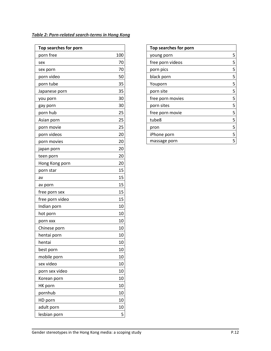| Top searches for porn |     |
|-----------------------|-----|
| porn free             | 100 |
| sex                   | 70  |
| sex porn              | 70  |
| porn video            | 50  |
| porn tube             | 35  |
| Japanese porn         | 35  |
| you porn              | 30  |
| gay porn              | 30  |
| porn hub              | 25  |
| Asian porn            | 25  |
| porn movie            | 25  |
| porn videos           | 20  |
| porn movies           | 20  |
| japan porn            | 20  |
| teen porn             | 20  |
| Hong Kong porn        | 20  |
| porn star             | 15  |
| av                    | 15  |
| av porn               | 15  |
| free porn sex         | 15  |
| free porn video       | 15  |
| Indian porn           | 10  |
| hot porn              | 10  |
| porn xxx              | 10  |
| Chinese porn          | 10  |
| hentai porn           | 10  |
| hentai                | 10  |
| best porn             | 10  |
| mobile porn           | 10  |
| sex video             | 10  |
| porn sex video        | 10  |
| Korean porn           | 10  |
| HK porn               | 10  |
| pornhub               | 10  |
| HD porn               | 10  |
| adult porn            | 10  |
| lesbian porn          | 5   |

|  | Table 2: Porn-related search-terms in Hong Kong |  |  |
|--|-------------------------------------------------|--|--|
|--|-------------------------------------------------|--|--|

| Top searches for porn |   |
|-----------------------|---|
| young porn            | 5 |
| free porn videos      | 5 |
| porn pics             | 5 |
| black porn            | 5 |
| Youporn               | 5 |
| porn site             | 5 |
| free porn movies      | 5 |
| porn sites            | 5 |
| free porn movie       | 5 |
| tube8                 | 5 |
| pron                  | 5 |
| iPhone porn           | 5 |
| massage porn          | 5 |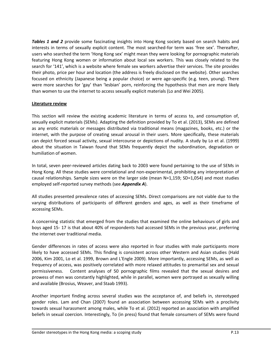**Tables 1 and 2** provide some fascinating insights into Hong Kong society based on search habits and interests in terms of sexually explicit content. The most searched-for term was 'free sex'. Thereafter, users who searched the term 'Hong Kong sex' might mean they were looking for pornographic materials featuring Hong Kong women or information about local sex workers. This was closely related to the search for '141', which is a website where female sex workers advertise their services. The site provides their photo, price per hour and location (the address is freely disclosed on the website). Other searches focused on ethnicity (Japanese being a popular choice) or were age-specific (e.g. teen, young). There were more searches for 'gay' than 'lesbian' porn, reinforcing the hypothesis that men are more likely than women to use the internet to access sexually explicit materials (Lo and Wei 2005).

#### **Literature review**

This section will review the existing academic literature in terms of access to, and consumption of, sexually explicit materials (SEMs). Adapting the definition provided by To et al. (2013), SEMs are defined as any erotic materials or messages distributed via traditional means (magazines, books, etc.) or the internet, with the purpose of creating sexual arousal in their users. More specifically, these materials can depict forced sexual activity, sexual intercourse or depictions of nudity. A study by Lo et al. (1999) about the situation in Taiwan found that SEMs frequently depict the subordination, degradation or humiliation of women.

In total, seven peer-reviewed articles dating back to 2003 were found pertaining to the use of SEMs in Hong Kong. All these studies were correlational and non-experimental, prohibiting any interpretation of causal relationships. Sample sizes were on the larger side (mean N=1,159; SD=1,054) and most studies employed self-reported survey methods (see *Appendix A*).

All studies presented prevalence rates of accessing SEMs. Direct comparisons are not viable due to the varying distributions of participants of different genders and ages, as well as their timeframe of accessing SEMs.

A concerning statistic that emerged from the studies that examined the online behaviours of girls and boys aged 15- 17 is that about 40% of respondents had accessed SEMs in the previous year, preferring the internet over traditional media.

Gender differences in rates of access were also reported in four studies with male participants more likely to have accessed SEMs. This finding is consistent across other Western and Asian studies (Hald 2006, Kim 2001, Lo et al. 1999, Brown and L'Engle 2009). More importantly, accessing SEMs, as well as frequency of access, was positively correlated with more relaxed attitudes to premarital sex and sexual permissiveness. Content analyses of 50 pornographic films revealed that the sexual desires and prowess of men was constantly highlighted, while in parallel, women were portrayed as sexually willing and available (Brosius, Weaver, and Staab 1993).

Another important finding across several studies was the acceptance of, and beliefs in, stereotyped gender roles. Lam and Chan (2007) found an association between accessing SEMs with a proclivity towards sexual harassment among males, while To et al. (2012) reported an association with amplified beliefs in sexual coercion. Interestingly, To (in press) found that female consumers of SEMs were found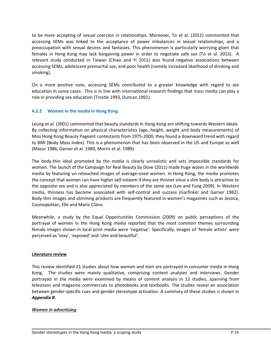to be more accepting of sexual coercion in relationships. Moreover, To et al. (2012) commented that accessing SEMs was linked to the acceptance of power imbalances in sexual relationships, and a preoccupation with sexual desires and fantasies. This phenomenon is particularly worrying given that females in Hong Kong may lack bargaining power in order to negotiate safe sex (To et al. 2013). A relevant study conducted in Taiwan (Chiao and Yi 2011) also found negative associations between accessing SEMs, adolescent premarital sex, and poor health (namely increased likelihood of drinking and smoking).

On a more positive note, accessing SEMs contributed to a greater knowledge with regard to sex education in some cases. This is in line with international research findings that mass media can play a role in providing sex education (Trostle 1993, Duncan 1991).

## <span id="page-15-0"></span>**4.2.2 Women in the media in Hong Kong**

Leung et al. (2001) commented that beauty standards in Hong Kong are shifting towards Western ideals. By collecting information on physical characteristics (age, height, weight and body measurements) of Miss Hong Kong Beauty Pageant contestants from 1975-2000, they found a downward trend with regard to BMI (Body Mass Index). This is a phenomenon that has been observed in the US and Europe as well (Mazur 1986, Garner et al. 1980, Morris et al. 1989).

The body-thin ideal promoted by the media is clearly unrealistic and sets impossible standards for women. The launch of the Campaign for Real Beauty by Dove (2011) made huge waves in the worldwide media by featuring un-retouched images of average-sized women. In Hong Kong, the media promotes the concept that women can have higher self-esteem if they are thinner since a slim body is attractive to the opposite sex and is also appreciated by members of the same sex (Lee and Fung 2009). In Western media, thinness has become associated with self-control and success (Garfinkel and Garner 1982). Body-thin images and slimming products are frequently featured in women's magazines such as Jessica, Cosmopolitan, Elle and Marie Claire.

Meanwhile, a study by the Equal Opportunities Commission (2009) on public perceptions of the portrayal of women in the Hong Kong media reported that the most common themes surrounding female images shown in local print media were 'negative'. Specifically, images of 'female artists' were perceived as 'sexy', 'exposed' and 'slim and beautiful'.

#### **Literature review**

This review identified 21 studies about how women and men are portrayed in consumer media in Hong Kong. The studies were mainly qualitative, comprising content analyses and interviews. Gender portrayals in the media were examined by means of content analysis in 12 studies, spanning from television and magazine commercials to photobooks and textbooks. The studies reveal an association between gender-specific cues and gender stereotype activation. A summary of these studies is shown in *Appendix B*.

#### *Women in advertising*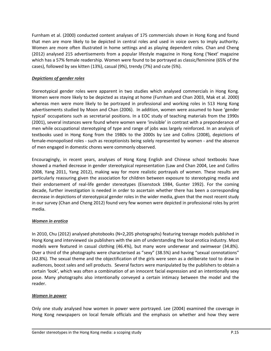Furnham et al. (2000) conducted content analyses of 175 commercials shown in Hong Kong and found that men are more likely to be depicted in central roles and used in voice overs to imply authority. Women are more often illustrated in home settings and as playing dependent roles. Chan and Cheng (2012) analysed 215 advertisements from a popular lifestyle magazine in Hong Kong ('Next' magazine which has a 57% female readership. Women were found to be portrayed as classic/feminine (65% of the cases), followed by sex kitten (13%), casual (9%), trendy (7%) and cute (5%).

## *Depictions of gender roles*

Stereotypical gender roles were apparent in two studies which analysed commercials in Hong Kong. Women were more likely to be depicted as staying at home (Furnham and Chan 2003, Mak et al. 2000) whereas men were more likely to be portrayed in professional and working roles in 513 Hong Kong advertisements studied by Moon and Chan (2006). In addition, women were assumed to have 'gender typical' occupations such as secretarial positions. In a EOC study of teaching materials from the 1990s (2001), several instances were found where women were 'invisible' in contrast with a preponderance of men while occupational stereotyping of type and range of jobs was largely reinforced. In an analysis of textbooks used in Hong Kong from the 1980s to the 2000s by Lee and Collins (2008), depictions of female-monopolised roles - such as receptionists being solely represented by women - and the absence of men engaged in domestic chores were commonly observed.

Encouragingly, in recent years, analyses of Hong Kong English and Chinese school textbooks have showed a marked decrease in gender stereotypical representation (Law and Chan 2004, Lee and Collins 2008, Yang 2011, Yang 2012), making way for more realistic portrayals of women. These results are particularly reassuring given the association for children between exposure to stereotyping media and their endorsement of real-life gender stereotypes (Eisenstock 1984, Gunter 1992). For the coming decade, further investigation is needed in order to ascertain whether there has been a corresponding decrease in depictions of stereotypical gender roles in the wider media, given that the most recent study in our survey (Chan and Cheng 2012) found very few women were depicted in professional roles by print media.

## *Women in erotica*

In 2010, Chu (2012) analysed photobooks (N=2,205 photographs) featuring teenage models published in Hong Kong and interviewed six publishers with the aim of understanding the local erotica industry. Most models were featured in casual clothing (46.4%), but many wore underwear and swimwear (34.8%). Over a third of the photographs were characterised as "sexy" (38.5%) and having "sexual connotations" (42.8%). The sexual theme and the objectification of the girls were seen as a deliberate tool to draw in audiences, boost sales and sell products. Several factors were manipulated by the publishers to obtain a certain 'look', which was often a combination of an innocent facial expression and an intentionally sexy pose. Many photographs also intentionally conveyed a certain intimacy between the model and the reader.

#### *Women in power*

Only one study analysed how women in power were portrayed. Lee (2004) examined the coverage in Hong Kong newspapers on local female officials and the emphasis on whether and how they were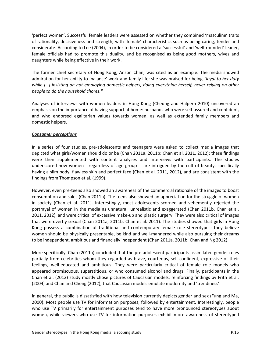'perfect women'. Successful female leaders were assessed on whether they combined 'masculine' traits of rationality, decisiveness and strength, with 'female' characteristics such as being caring, tender and considerate. According to Lee (2004), in order to be considered a 'successful' and 'well-rounded' leader, female officials had to promote this duality, and be recognised as being good mothers, wives and daughters while being effective in their work.

The former chief secretary of Hong Kong, Anson Chan, was cited as an example. The media showed admiration for her ability to 'balance' work and family life: she was praised for being *"loyal to her duty while […] insisting on not employing domestic helpers, doing everything herself, never relying on other people to do the household chores."*

Analyses of interviews with women leaders in Hong Kong (Cheung and Halpern 2010) uncovered an emphasis on the importance of having support at home: husbands who were self-assured and confident, and who endorsed egalitarian values towards women, as well as extended family members and domestic helpers.

#### *Consumer perceptions*

In a series of four studies, pre-adolescents and teenagers were asked to collect media images that depicted what girls/women should do or be (Chan 2011a, 2011b; Chan et al. 2011, 2012); these findings were then supplemented with content analyses and interviews with participants. The studies underscored how women - regardless of age group - are intrigued by the cult of beauty, specifically having a slim body, flawless skin and perfect face (Chan et al. 2011, 2012), and are consistent with the findings from Thompson et al. (1999).

However, even pre-teens also showed an awareness of the commercial rationale of the images to boost consumption and sales (Chan 2011b). The teens also showed an appreciation for the struggle of women in society (Chan et al. 2011). Interestingly, most adolescents scorned and vehemently rejected the portrayal of women in the media as unnatural, unrealistic and exaggerated (Chan 2011b, Chan et al. 2011, 2012), and were critical of excessive make-up and plastic surgery. They were also critical of images that were overtly sexual (Chan 2011a, 2011b; Chan et al. 2011). The studies showed that girls in Hong Kong possess a combination of traditional and contemporary female role stereotypes: they believe women should be physically presentable, be kind and well-mannered while also pursuing their dreams to be independent, ambitious and financially independent (Chan 2011a, 2011b; Chan and Ng 2012).

More specifically, Chan (2011a) concluded that the pre-adolescent participants assimilated gender roles partially from celebrities whom they regarded as brave, courteous, self-confident, expressive of their feelings, well-educated and ambitious. They were particularly critical of female role models who appeared promiscuous, superstitious, or who consumed alcohol and drugs. Finally, participants in the Chan et al. (2012) study mostly chose pictures of Caucasian models, reinforcing findings by Frith et al. (2004) and Chan and Cheng (2012), that Caucasian models emulate modernity and 'trendiness'.

In general, the public is dissatisfied with how television currently depicts gender and sex (Fung and Ma, 2000). Most people use TV for information purposes, followed by entertainment. Interestingly, people who use TV primarily for entertainment purposes tend to have more pronounced stereotypes about women, while viewers who use TV for information purposes exhibit more awareness of stereotyped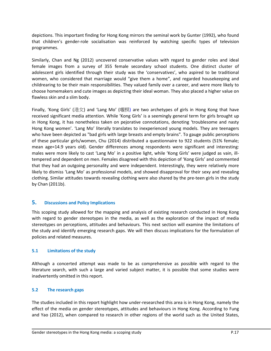depictions. This important finding for Hong Kong mirrors the seminal work by Gunter (1992), who found that children's gender-role socialisation was reinforced by watching specific types of television programmes.

Similarly, Chan and Ng (2012) uncovered conservative values with regard to gender roles and ideal female images from a survey of 355 female secondary school students. One distinct cluster of adolescent girls identified through their study was the 'conservatives', who aspired to be traditional women, who considered that marriage would "give them a home", and regarded housekeeping and childrearing to be their main responsibilities. They valued family over a career, and were more likely to choose homemakers and cute images as depicting their ideal woman. They also placed a higher value on flawless skin and a slim body.

Finally, 'Kong Girls' (港女) and 'Lang Mo' (嚫模) are two archetypes of girls in Hong Kong that have received significant media attention. While 'Kong Girls' is a seemingly general term for girls brought up in Hong Kong, it has nonetheless taken on pejorative connotations, denoting 'troublesome and nasty Hong Kong women'. 'Lang Mo' literally translates to inexperienced young models. They are teenagers who have been depicted as "bad girls with large breasts and empty brains". To gauge public perceptions of these particular girls/women, Chu (2014) distributed a questionnaire to 922 students (51% female; mean age=14.9 years old). Gender differences among respondents were significant and interesting: males were more likely to cast 'Lang Mo' in a positive light, while 'Kong Girls' were judged as vain, illtempered and dependent on men. Females disagreed with this depiction of 'Kong Girls' and commented that they had an outgoing personality and were independent. Interestingly, they were relatively more likely to dismiss 'Lang Mo' as professional models, and showed disapproval for their sexy and revealing clothing. Similar attitudes towards revealing clothing were also shared by the pre-teen girls in the study by Chan (2011b).

## <span id="page-18-0"></span>**5. Discussions and Policy Implications**

This scoping study allowed for the mapping and analysis of existing research conducted in Hong Kong with regard to gender stereotypes in the media, as well as the exploration of the impact of media stereotypes on perceptions, attitudes and behaviours. This next section will examine the limitations of the study and identify emerging research gaps. We will then discuss implications for the formulation of policies and related measures.

## <span id="page-18-1"></span>**5.1 Limitations of the study**

Although a concerted attempt was made to be as comprehensive as possible with regard to the literature search, with such a large and varied subject matter, it is possible that some studies were inadvertently omitted in this report.

## <span id="page-18-2"></span>**5.2 The research gaps**

The studies included in this report highlight how under-researched this area is in Hong Kong, namely the effect of the media on gender stereotypes, attitudes and behaviours in Hong Kong. According to Fung and Yao (2012), when compared to research in other regions of the world such as the United States,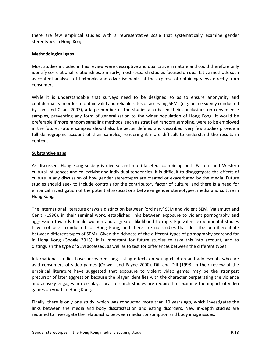there are few empirical studies with a representative scale that systematically examine gender stereotypes in Hong Kong.

#### **Methodological gaps**

Most studies included in this review were descriptive and qualitative in nature and could therefore only identify correlational relationships. Similarly, most research studies focused on qualitative methods such as content analyses of textbooks and advertisements, at the expense of obtaining views directly from consumers.

While it is understandable that surveys need to be designed so as to ensure anonymity and confidentiality in order to obtain valid and reliable rates of accessing SEMs (e.g. online survey conducted by Lam and Chan, 2007), a large number of the studies also based their conclusions on convenience samples, preventing any form of generalisation to the wider population of Hong Kong. It would be preferable if more random sampling methods, such as stratified random sampling, were to be employed in the future. Future samples should also be better defined and described: very few studies provide a full demographic account of their samples, rendering it more difficult to understand the results in context.

#### **Substantive gaps**

As discussed, Hong Kong society is diverse and multi-faceted, combining both Eastern and Western cultural influences and collectivist and individual tendencies. It is difficult to disaggregate the effects of culture in any discussion of how gender stereotypes are created or exacerbated by the media. Future studies should seek to include controls for the contributory factor of culture, and there is a need for empirical investigation of the potential associations between gender stereotypes, media and culture in Hong Kong.

The international literature draws a distinction between 'ordinary' SEM and violent SEM. Malamuth and Ceniti (1986), in their seminal work, established links between exposure to violent pornography and aggression towards female women and a greater likelihood to rape. Equivalent experimental studies have not been conducted for Hong Kong, and there are no studies that describe or differentiate between different types of SEMs. Given the richness of the different types of pornography searched for in Hong Kong (Google 2015), it is important for future studies to take this into account, and to distinguish the type of SEM accessed, as well as to test for differences between the different types.

International studies have uncovered long-lasting effects on young children and adolescents who are avid consumers of video games (Colwell and Payne 2000). Dill and Dill (1998) in their review of the empirical literature have suggested that exposure to violent video games may be the strongest precursor of later aggression because the player identifies with the character perpetrating the violence and actively engages in role play. Local research studies are required to examine the impact of video games on youth in Hong Kong.

Finally, there is only one study, which was conducted more than 10 years ago, which investigates the links between the media and body dissatisfaction and eating disorders. New in-depth studies are required to investigate the relationship between media consumption and body image issues.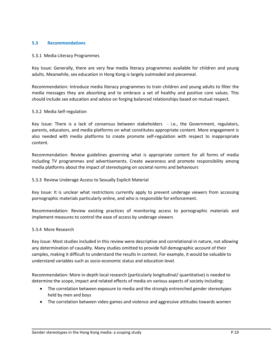#### <span id="page-20-0"></span>**5.3 Recommendations**

#### 5.3.1 Media Literacy Programmes

Key Issue: Generally, there are very few media literacy programmes available for children and young adults. Meanwhile, sex education in Hong Kong is largely outmoded and piecemeal.

Recommendation: Introduce media literacy programmes to train children and young adults to filter the media messages they are absorbing and to embrace a set of healthy and positive core values. This should include sex education and advice on forging balanced relationships based on mutual respect.

#### 5.3.2 Media Self-regulation

Key Issue: There is a lack of consensus between stakeholders - i.e., the Government, regulators, parents, educators, and media platforms on what constitutes appropriate content. More engagement is also needed with media platforms to create promote self-regulation with respect to inappropriate content.

Recommendation: Review guidelines governing what is appropriate content for all forms of media including TV programmes and advertisements. Create awareness and promote responsibility among media platforms about the impact of stereotyping on societal norms and behaviours

#### 5.3.3 Review Underage Access to Sexually Explicit Material

Key Issue: It is unclear what restrictions currently apply to prevent underage viewers from accessing pornographic materials particularly online, and who is responsible for enforcement.

Recommendation: Review existing practices of monitoring access to pornographic materials and implement measures to control the ease of access by underage viewers

#### 5.3.4 More Research

Key Issue: Most studies included in this review were descriptive and correlational in nature, not allowing any determination of causality. Many studies omitted to provide full demographic account of their samples, making it difficult to understand the results in context. For example, it would be valuable to understand variables such as socio-economic status and education level.

Recommendation: More in-depth local research (particularly longitudinal/ quantitative) is needed to determine the scope, impact and related effects of media on various aspects of society including:

- The correlation between exposure to media and the strongly entrenched gender stereotypes held by men and boys
- The correlation between video games and violence and aggressive attitudes towards women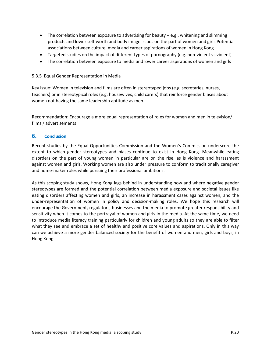- The correlation between exposure to advertising for beauty  $-$  e.g., whitening and slimming products and lower self-worth and body image issues on the part of women and girls Potential associations between culture, media and career aspirations of women in Hong Kong
- Targeted studies on the impact of different types of pornography (e.g. non-violent vs violent)
- The correlation between exposure to media and lower career aspirations of women and girls

## 5.3.5 Equal Gender Representation in Media

Key Issue: Women in television and films are often in stereotyped jobs (e.g. secretaries, nurses, teachers) or in stereotypical roles (e.g. housewives, child carers) that reinforce gender biases about women not having the same leadership aptitude as men.

Recommendation: Encourage a more equal representation of roles for women and men in television/ films / advertisements

## <span id="page-21-0"></span>**6. Conclusion**

Recent studies by the Equal Opportunities Commission and the Women's Commission underscore the extent to which gender stereotypes and biases continue to exist in Hong Kong. Meanwhile eating disorders on the part of young women in particular are on the rise, as is violence and harassment against women and girls. Working women are also under pressure to conform to traditionally caregiver and home-maker roles while pursuing their professional ambitions.

As this scoping study shows, Hong Kong lags behind in understanding how and where negative gender stereotypes are formed and the potential correlation between media exposure and societal issues like eating disorders affecting women and girls, an increase in harassment cases against women, and the under-representation of women in policy and decision-making roles. We hope this research will encourage the Government, regulators, businesses and the media to promote greater responsibility and sensitivity when it comes to the portrayal of women and girls in the media. At the same time, we need to introduce media literacy training particularly for children and young adults so they are able to filter what they see and embrace a set of healthy and positive core values and aspirations. Only in this way can we achieve a more gender balanced society for the benefit of women and men, girls and boys, in Hong Kong.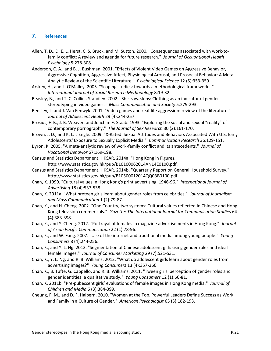## <span id="page-22-0"></span>**7. References**

- Allen, T. D., D. E. L. Herst, C. S. Bruck, and M. Sutton. 2000. "Consequences associated with work-tofamily conflict: A review and agenda for future research." *Journal of Occupational Health Psychology* 5:278-308.
- Anderson, C. A., and B. J. Bushman. 2001. "Effects of Violent Video Games on Aggressive Behavior, Aggressive Cognition, Aggressive Affect, Physiological Arousal, and Prosocial Behavior: A Meta-Analytic Review of the Scientific Literature." *Psychological Science* 12 (5):353-359.
- Arskey, H., and L. O'Malley. 2005. "Scoping studies: towards a methodological framework. ." *International Journal of Social Research Methodology* 8:19-32.
- Beasley, B., and T. C. Collins-Standley. 2002. "Shirts vs. skins: Clothing as an indicator of gender stereotyping in video games." *Mass Communication and Society* 5:279-293.
- Bensley, L, and J. Van Eenwyk. 2001. "Video games and real-life aggression: review of the literature." *Journal of Adolescent Health* 29 (4):244-257.
- Brosius, H-B., J. B. Weaver, and Joachim F. Staab. 1993. "Exploring the social and sexual "reality" of contemporary pornography." *The Journal of Sex Research* 30 (2):161-170.
- Brown, J. D., and K. L. L'Engle. 2009. "X-Rated: Sexual Attitudes and Behaviors Associated With U.S. Early Adolescents' Exposure to Sexually Explicit Media." *Communication Research* 36:129-151.
- Byron, K. 2005. "A meta-analytic review of work-family conflict and its antecedents." *Journal of Vocational Behavior* 67:169-198.
- Census and Statistics Department, HKSAR. 2014a. "Hong Kong in Figures." http://www.statistics.gov.hk/pub/B10100062014AN14E0100.pdf.
- Census and Statistics Department, HKSAR. 2014b. "Quarterly Report on General Household Survey." http://www.statistics.gov.hk/pub/B10500012014QQ03B0100.pdf.
- Chan, K. 1999. "Cultural values in Hong Kong's print advertising, 1946-96." *International Journal of Advertising* 18 (4):537-538.
- Chan, K. 2011a. "What preteen girls learn about gender roles from celebrities." *Journal of Journalism and Mass Communication* 1 (2):79-87.
- Chan, K., and H. Cheng. 2002. "One Country, two systems: Cultural values reflected in Chinese and Hong Kong television commercials." *Gazette: The International Journal for Communication Studies* 64 (4):383-398.
- Chan, K., and Y Cheng. 2012. "Portrayal of females in magazine advertisements in Hong Kong." *Journal of Asian Pacific Communication* 22 (1):78-96.
- Chan, K., and W. Fang. 2007. "Use of the internet and traditional media among young people." *Young Consumers* 8 (4):244-256.
- Chan, K., and Y. L. Ng. 2012. "Segmentation of Chinese adolescent girls using gender roles and ideal female images." *Journal of Consumer Marketing* 29 (7):521-531.
- Chan, K., Y. L. Ng, and R. B. Williams. 2012. "What do adolescent girls learn about gender roles from advertising images?" *Young Consumers* 13 (4):357-366.
- Chan, K., B. Tufte, G. Cappello, and R. B. Williams. 2011. "Tween girls' perception of gender roles and gender identities: a qualitative study." *Young Consumers* 12 (1):66-81.
- Chan, K. 2011b. "Pre-pubescent girls' evaluations of female images in Hong Kong media." *Journal of Children and Media* 6 (3):384-399.
- Cheung, F. M., and D. F. Halpern. 2010. "Women at the Top. Powerful Leaders Define Success as Work and Family in a Culture of Gender." *American Psychologist* 65 (3):182-193.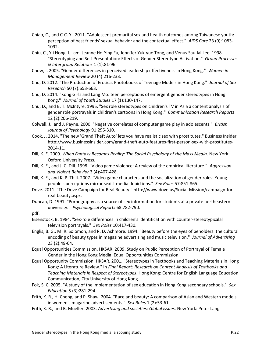- Chiao, C., and C-C. Yi. 2011. "Adolescent premarital sex and health outcomes among Taiwanese youth: perception of best friends' sexual behavior and the contextual effect." *AIDS Care* 23 (9):1083- 1092.
- Chiu, C., Y.i Hong, I. Lam, Jeanne Ho-Ying Fu, Jennifer Yuk-yue Tong, and Venus Sau-lai Lee. 1998. "Stereotyping and Self-Presentation: Effects of Gender Stereotype Activation." *Group Processes & Intergroup Relations* 1 (1):81-96.
- Chow, I. 2005. "Gender differences in perceived leadership effectiveness in Hong Kong." *Women in Management Review* 20 (4):216-233.
- Chu, D. 2012. "The Production of Erotica: Photobooks of Teenage Models in Hong Kong." *Journal of Sex Research* 50 (7):653-663.
- Chu, D. 2014. "Kong Girls and Lang Mo: teen perceptions of emergent gender stereotypes in Hong Kong." *Journal of Youth Studies* 17 (1):130-147.
- Chu, D., and B. T. McIntyre. 1995. "Sex role stereotypes on children's TV in Asia a content analysis of gender role portrayals in children's cartoons in Hong Kong." *Communication Research Reports* 12 (2):206-219.
- Colwell, J., and J. Payne. 2000. "Negative correlates of computer game play in adolescents." *British Journal of Psychology* 91:295-310.
- Cook, J. 2014. "The new 'Grand Theft Auto' lets you have realistic sex with prostitutes." Business Insider. http://www.businessinsider.com/grand-theft-auto-features-first-person-sex-with-prostitutes-2014-11.
- Dill, K. E. 2009. *When Fantasy Becomes Reality: The Social Psychology of the Mass Media*. New York: Oxford University Press.
- Dill, K. E., and J. C. Dill. 1998. "Video game violence: A review of the empirical literature." *Aggression and Violent Behavior* 3 (4):407-428.
- Dill, K. E., and K. P. Thill. 2007. "Video game characters and the socialization of gender roles: Young people's perceptions mirror sexist media depictions." *Sex Roles* 57:851-865.
- Dove. 2011. "The Dove Campaign for Real Beauty." http://www.dove.us/Social-Mission/campaign-forreal-beauty.aspx.
- Duncan, D. 1991. "Pornography as a source of sex information for students at a private northeastern university." *Psychological Reports* 68:782-790.

pdf.

- Eisenstock, B. 1984. "Sex-role differences in children's identification with counter-stereotypicalal television portrayals." *Sex Roles* 10:417-430.
- Englis, B. G., M. R. Solomon, and R. D. Ashmore. 1994. "Beauty before the eyes of beholders: the cultural encoding of beauty types in magazine advertising and music television." *Journal of Advertising* 23 (2):49-64.
- Equal Opportunities Commission, HKSAR. 2009. Study on Public Perception of Portrayal of Female Gender in the Hong Kong Media. Equal Opportunities Commission.
- Equal Opportunity Commission, HKSAR. 2001. "Stereotypes in Textbooks and Teaching Materials in Hong Kong: A Literature Review." In *Final Report: Research on Content Analysis of Textbooks and Teaching Materials in Respect of Stereotypes*. Hong Kong: Centre for English Language Education Communication, City University of Hong Kong.
- Fok, S. C. 2005. "A study of the implementation of sex education in Hong Kong secondary schools." *Sex Education* 5 (3):281-294.
- Frith, K. R., H. Cheng, and P. Shaw. 2004. "Race and beauty: A comparison of Asian and Western models in women's magazine advertisements." *Sex Roles* 1 (2):53-61.
- Frith, K. R., and B. Mueller. 2003. *Advertising and societies: Global issues*. New York: Peter Lang.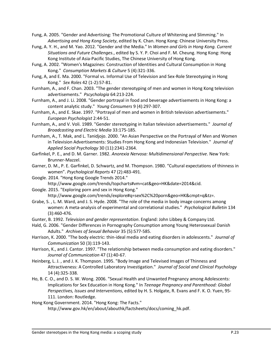Fung, A. 2005. "Gender and Advertising: The Promotional Culture of Whitening and Slimming." In *Advertising and Hong Kong Society*, edited by K. Chan. Hong Kong: Chinese University Press.

- Fung, A. Y. H., and M. Yao. 2012. "Gender and the Media." In *Women and Girls in Hong Kong. Current Situations and Future Challenges.*, edited by S. Y. P. Choi and F. M. Cheung. Hong Kong: Hong Kong Institute of Asia-Pacific Studies, The Chinese University of Hong Kong.
- Fung, A. 2002. "Women's Magazines: Construction of Identities and Cultural Consumption in Hong Kong." *Consumption Markets & Culture* 5 (4):321-336.
- Fung, A, and E. Ma. 2000. "Formal vs. Informal Use of Television and Sex-Role Stereotyping in Hong Kong." *Sex Roles* 42 (1-2):57-81.
- Furnham, A., and F. Chan. 2003. "The gender stereotyping of men and women in Hong Kong television advertisements." *Pscychologia* 64:213-224.
- Furnham, A., and J. Li. 2008. "Gender portrayal in food and beverage advertisements in Hong Kong: a content analytic study." *Young Consumers* 9 (4):297-307.
- Furnham, A., and E. Skae. 1997. "Portrayal of men and women in British television advertisements." *European Psychologist* 2:44-51.
- Furnham, A., and V. Voli. 1989. "Gender stereotyping in Italian television advertisements." *Journal of Broadcasting and Electric Media* 33:175-185.
- Furnham, A., T. Mak, and L. Tanidjojo. 2000. "An Asian Perspective on the Portrayal of Men and Women in Television Advertisements: Studies From Hong Kong and Indonesian Television." *Journal of Applied Social Psychology* 30 (11):2341-2364.
- Garfinkel, P. E., and D. M. Garner. 1982. *Anorexia Nervosa: Multidimensional Perspective*. New York: Brunner-Mazzel.
- Garner, D. M., P. E. Garfinkel, D. Schwartz, and M. Thompson. 1980. "Cultural expectations of thinness in women". *Psychological Reports* 47 (2):483-491.
- Google. 2014. "Hong Kong Google Trends 2014." http://www.google.com/trends/topcharts#vm=cat&geo=HK&date=2014&cid.
- Google. 2015. "Exploring porn and sex in Hong Kong." http://www.google.com/trends/explore#q=sex%2C%20porn&geo=HK&cmpt=q&tz=.
- Grabe, S. , L. M. Ward, and J. S. Hyde. 2008. "The role of the media in body image concerns among women: A meta-analysis of experimental and correlational studies." *Psychological Bulletin* 134 (3):460-476.
- Gunter, B. 1992. *Television and gender representation*. England: John Libbey & Company Ltd.
- Hald, G. 2006. "Gender Differences in Pornography Consumption among Young Heterosexual Danish Adults." *Archives of Sexual Behavior* 35 (5):577-585.
- Harrison, K. 2000. "The body electric: thin-ideal media and eating disorders in adolescents." *Journal of Communication* 50 (3):119-143.
- Harrison, K., and J. Cantor. 1997. "The relationship between media consumption and eating disorders." *Journal of Communication* 47 (1):40-67.
- Heinberg, L. J. , and J. K. Thompson. 1995. "Body Image and Televised Images of Thinness and Attractiveness: A Controlled Laboratory Investigation." *Journal of Social and Clinical Psychology* 14 (4):325-338.
- Ho, B. C. O., and D. S. W. Wong. 2006. "Sexual Health and Unwanted Pregnancy among Adolescents: Implications for Sex Education in Hong Kong." In *Teenage Pregnancy and Parenthood: Global Perspectives, Issues and Interventions*, edited by H. S. Holgate, R. Evans and F. K. O. Yuen, 95- 111. London: Routledge.

Hong Kong Government. 2014. "Hong Kong: The Facts."

http://www.gov.hk/en/about/abouthk/factsheets/docs/coming\_hk.pdf.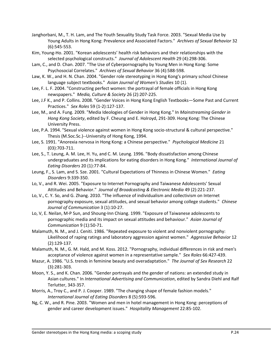- Janghorbani, M., T. H. Lam, and The Youth Sexuality Study Task Force. 2003. "Sexual Media Use by Young Adults in Hong Kong: Prevalence and Associated Factors." *Archives of Sexual Behavior* 32 (6):545-553.
- Kim, Young-Ho. 2001. "Korean adolescents' health risk behaviors and their relationships with the selected psychological constructs." *Journal of Adolescent Health* 29 (4):298-306.
- Lam, C., and D. Chan. 2007. "The Use of Cyberpornography by Young Men in Hong Kong: Some Psychosocial Correlates." *Archives of Sexual Behavior* 36 (4):588-598.
- Law, K. W., and H. N. Chan. 2004. "Gender role stereotyping in Hong Kong's primary school Chinese language subject textbooks." *Asian Journal of Women's Studies* 10 (1).
- Lee, F. L. F. 2004. "Constructing perfect women: the portrayal of female officials in Hong Kong newspapers." *Media, Culture & Society* 26 (2):207-225.
- Lee, J.F K., and P. Collins. 2008. "Gender Voices in Hong Kong English Textbooks—Some Past and Current Practices." *Sex Roles* 59 (1-2):127-137.
- Lee, M., and A. Fung. 2009. "Media Ideologies of Gender in Hong Kong." In *Mainstreaming Gender in Hong Kong Society*, edited by F. Cheung and E. Holroyd, 291-309. Hong Kong: The Chinese University Press.
- Lee, P.A. 1994. "Sexual violence against women in Hong Kong socio-structural & cultural perspective." Thesis (M.Soc.Sc.)--University of Hong Kong, 1994.
- Lee, S. 1991. "Anorexia nervosa in Hong Kong: a Chinese perspective." *Psychological Medicine* 21 (03):703-711.
- Lee, S., T. Leung, A. M. Lee, H. Yu, and C. M. Leung. 1996. "Body dissatisfaction among Chinese undergraduates and its implications for eating disorders in Hong Kong." *International Journal of Eating Disorders* 20 (1):77-84.
- Leung, F., S. Lam, and S. Sze. 2001. "Cultural Expectations of Thinness in Chinese Women." *Eating Disorders* 9:339-350.
- Lo, V., and R. Wei. 2005. "Exposure to Internet Pornography and Taiwanese Adolescents' Sexual Attitudes and Behavior." *Journal of Broadcasting & Electronic Media* 49 (2):221-237.
- Lo, V., C. Y. So, and G. Zhang. 2010. "The influence of individualism and collectivism on Internet pornography exposure, sexual attitudes, and sexual behavior among college students." *Chinese Journal of Communication* 3 (1):10-27.
- Lo, V, E. Neilan, M-P Sun, and Shoung-Inn Chiang. 1999. "Exposure of Taiwanese adolescents to pornographic media and its impact on sexual attitudes and behaviour." *Asian Journal of Communication* 9 (1):50-71.
- Malamuth, N. M., and J. Ceniti. 1986. "Repeated exposure to violent and nonviolent pornography: Likelihood of raping ratings and laboratory aggression against women." *Aggressive Behavior* 12 (2):129-137.
- Malamuth, N. M., G. M. Hald, and M. Koss. 2012. "Pornography, individual differences in risk and men's acceptance of violence against women in a representative sample." *Sex Roles* 66:427-439.
- Mazur, A. 1986. "U.S. trends in feminine beauty and overadaptation." *The Journal of Sex Research* 22 (3):281-303.
- Moon, Y. S., and K. Chan. 2006. "Gender portrayals and the gender of nations: an extended study in Asian cultures." In *International Advertising and Communication*, edited by Sandra Diehl and Ralf Terlutter, 343-357.
- Morris, A., Troy C., and P. J. Cooper. 1989. "The changing shape of female fashion models." *International Journal of Eating Disorders* 8 (5):593-596.
- Ng, C. W., and R. Pine. 2003. "Women and men in hotel management in Hong Kong: perceptions of gender and career development issues." *Hospitality Management* 22:85-102.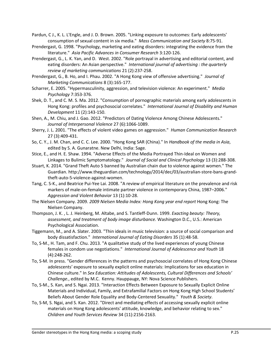Pardun, C J., K. L. L'Engle, and J. D. Brown. 2005. "Linking exposure to outcomes: Early adolescents' consumption of sexual content in six media." *Mass Communication and Society* 8:75-91.

- Prendergast, G. 1998. "Psychology, marketing and eating disorders: integrating the evidence from the literature." *Asia Pacific Advances in Consumer Research* 3:120-126.
- Prendergast, G., L. K. Yan, and D. West. 2002. "Role portrayal in advertising and editorial content, and eating disorders: An Asian perspective." *International journal of advertising : the quarterly review of marketing communications* 21 (2):237-258.
- Prendergast, G., B. Ho, and I. Phau. 2002. "A Hong Kong view of offensive advertising." *Journal of Marketing Communications* 8 (3):165-177.
- Scharrer, E. 2005. "Hypermasculinity, aggression, and television violence: An experiment." *Media Psychology* 7:353-376.
- Shek, D. T., and C. M. S. Ma. 2012. "Consumption of pornographic materials among early adolescents in Hong Kong: profiles and psychosocial correlates." *International Journal of Disability and Human Development* 11 (2):143-150.
- Shen, A., M. Chiu, and J. Gao. 2012. "Predictors of Dating Violence Among Chinese Adolescents." *Journal of Interpersonal Violence* 27 (6):1066-1089.
- Sherry, J. L. 2001. "The effects of violent video games on aggression." *Human Communication Research* 27 (3):409-431.
- So, C. Y., J. M. Chan, and C. C. Lee. 2000. "Hong Kong SAR (China)." In *Handbook of the media in Asia*, edited by S. A. Gunaratne. New Delhi, India: Sage.
- Stice, E., and H. E. Shaw. 1994. "Adverse Effects of the Media Portrayed Thin-Ideal on Women and Linkages to Bulimic Symptomatology." *Journal of Social and Clinical Psychology* 13 (3):288-308.
- Stuart, K. 2014. "Grand Theft Auto 5 banned by Australian chain due to violence against women." The Guardian. http://www.theguardian.com/technology/2014/dec/03/australian-store-bans-grandtheft-auto-5-violence-against-women.
- Tang, C. S-K., and Beatrice Pui-Yee Lai. 2008. "A review of empirical literature on the prevalence and risk markers of male-on-female intimate partner violence in contemporary China, 1987–2006." *Aggression and Violent Behavior* 13 (1):10-28.
- The Nielsen Company. 2009. *2009 Nielsen Media Index: Hong Kong year end report* Hong Kong: The Nielsen Company.
- Thompson, J. K. , L. J. Heinberg, M. Altabe, and S. Tantleff-Dunn. 1999. *Exacting beauty: Theory, assessment, and treatment of body image disturbance.* Washington D.C., U.S.: American Psychological Association.
- Tiggemann, M., and A. Slater. 2003. "Thin ideals in music television: a source of social comparison and body dissatisfaction." *International Journal of Eating Disorders* 35 (1):48-58.
- To, S-M., H. Tam, and F. Chu. 2013. "A qualitative study of the lived experiences of young Chinese females in condom use negotiations." *International Journal of Adolescence and Youth* 18 (4):248-262.
- To, S-M. In press. "Gender differences in the patterns and psychosocial correlates of Hong Kong Chinese adolescents' exposure to sexually explicit online materials: Implications for sex education in Chinese culture." In *Sex Education: Attitudes of Adolescents, Cultural Differences and Schools' Challenge.*, edited by M.C. Kenny. Hauppauge, NY: Nova Science Publishers.
- To, S-M., S. Kan, and S. Ngai. 2013. "Interaction Effects Between Exposure to Sexually Explicit Online Materials and Individual, Family, and Extrafamilial Factors on Hong Kong High School Students' Beliefs About Gender Role Equality and Body-Centered Sexuality." *Youth & Society*.
- To, S-M, S. Ngai, and S. Kan. 2012. "Direct and mediating effects of accessing sexually explicit online materials on Hong Kong adolescents' attitude, knowledge, and behavior relating to sex." *Children and Youth Services Review* 34 (11):2156-2163.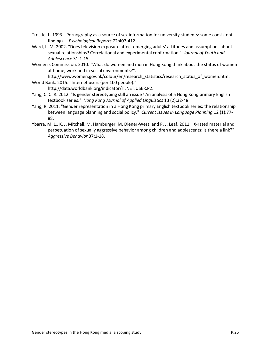- Trostle, L. 1993. "Pornography as a source of sex information for university students: some consistent findings." *Psychological Reports* 72:407-412.
- Ward, L. M. 2002. "Does television exposure affect emerging adults' attitudes and assumptions about sexual relationships? Correlational and experimental confirmation." *Journal of Youth and Adolescence* 31:1-15.
- Women's Commission. 2010. "What do women and men in Hong Kong think about the status of women at home, work and in social environments?".

http://www.women.gov.hk/colour/en/research\_statistics/research\_status\_of\_women.htm. World Bank. 2015. "Internet users (per 100 people)."

http://data.worldbank.org/indicator/IT.NET.USER.P2.

- Yang, C. C. R. 2012. "Is gender stereotyping still an issue? An analysis of a Hong Kong primary English textbook series." *Hong Kong Journal of Applied Linguistics* 13 (2):32-48.
- Yang, R. 2011. "Gender representation in a Hong Kong primary English textbook series: the relationship between language planning and social policy." *Current Issues in Language Planning* 12 (1):77- 88.
- Ybarra, M. L., K. J. Mitchell, M. Hamburger, M. Diener-West, and P. J. Leaf. 2011. "X-rated material and perpetuation of sexually aggressive behavior among children and adolescents: Is there a link?" *Aggressive Behavior* 37:1-18.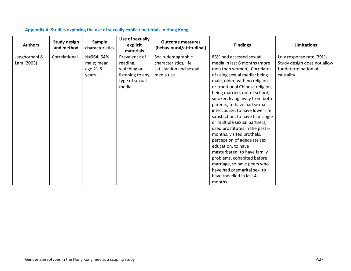<span id="page-28-0"></span>

| <b>Authors</b> | <b>Study design</b><br>and method | Sample<br>characteristics | Use of sexually<br>explicit<br>materials | <b>Outcome measures</b><br>(behavioural/attitudinal) | <b>Findings</b>                  | Limitations                 |
|----------------|-----------------------------------|---------------------------|------------------------------------------|------------------------------------------------------|----------------------------------|-----------------------------|
| Janghorbani &  | Correlational                     | N=964; 54%                | Prevalence of                            | Socio-demographic                                    | 83% had accessed sexual          | Low response rate (39%).    |
| Lam (2003)     |                                   | male; mean                | reading,                                 | characteristics, life                                | media in last 6 months (more     | Study design does not allow |
|                |                                   | age 21.8                  | watching or                              | satisfaction and sexual                              | men than women). Correlates      | for determination of        |
|                |                                   | years.                    | listening to any                         | media use.                                           | of using sexual media: being     | causality.                  |
|                |                                   |                           | type of sexual                           |                                                      | male, older, with no religion    |                             |
|                |                                   |                           | media                                    |                                                      | or traditional Chinese religion, |                             |
|                |                                   |                           |                                          |                                                      | being married, out of school,    |                             |
|                |                                   |                           |                                          |                                                      | smoker, living away from both    |                             |
|                |                                   |                           |                                          |                                                      | parents, to have had sexual      |                             |
|                |                                   |                           |                                          |                                                      | intercourse, to have lower life  |                             |
|                |                                   |                           |                                          |                                                      | satisfaction, to have had single |                             |
|                |                                   |                           |                                          |                                                      | or multiple sexual partners,     |                             |
|                |                                   |                           |                                          |                                                      | used prostitutes in the past 6   |                             |
|                |                                   |                           |                                          |                                                      | months, visited brothels,        |                             |
|                |                                   |                           |                                          |                                                      | perception of adequate sex       |                             |
|                |                                   |                           |                                          |                                                      | education, to have               |                             |
|                |                                   |                           |                                          |                                                      | masturbated, to have family      |                             |
|                |                                   |                           |                                          |                                                      | problems, cohabited before       |                             |
|                |                                   |                           |                                          |                                                      | marriage, to have peers who      |                             |
|                |                                   |                           |                                          |                                                      | have had premarital sex, to      |                             |
|                |                                   |                           |                                          |                                                      | have travelled in last 4         |                             |
|                |                                   |                           |                                          |                                                      | months.                          |                             |

## **Appendix A: Studies exploring the use of sexually explicit materials in Hong Kong**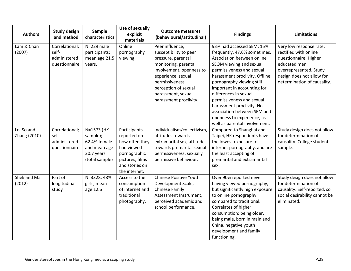| <b>Authors</b>             | <b>Study design</b><br>and method                        | Sample<br>characteristics                                                              | Use of sexually<br>explicit<br>materials                                                                                          | <b>Outcome measures</b><br>(behavioural/attitudinal)                                                                                                                                                                                 | <b>Findings</b>                                                                                                                                                                                                                                                                                                                                                                                                                | <b>Limitations</b>                                                                                                                                                              |
|----------------------------|----------------------------------------------------------|----------------------------------------------------------------------------------------|-----------------------------------------------------------------------------------------------------------------------------------|--------------------------------------------------------------------------------------------------------------------------------------------------------------------------------------------------------------------------------------|--------------------------------------------------------------------------------------------------------------------------------------------------------------------------------------------------------------------------------------------------------------------------------------------------------------------------------------------------------------------------------------------------------------------------------|---------------------------------------------------------------------------------------------------------------------------------------------------------------------------------|
| Lam & Chan<br>(2007)       | Correlational;<br>self-<br>administered<br>questionnaire | N=229 male<br>participants;<br>mean age 21.5<br>years.                                 | Online<br>pornography<br>viewing                                                                                                  | Peer influence,<br>susceptibility to peer<br>pressure, parental<br>monitoring, parental<br>involvement, openness to<br>experience, sexual<br>permissiveness,<br>perception of sexual<br>harassment, sexual<br>harassment proclivity. | 93% had accessed SEM: 15%<br>frequently, 47.6% sometimes.<br>Association between online<br>SEOM viewing and sexual<br>permissiveness and sexual<br>harassment proclivity. Offline<br>pornography viewing still<br>important in accounting for<br>differences in sexual<br>permissiveness and sexual<br>harassment proclivity. No<br>association between SEM and<br>openness to experience, as<br>well as parental involvement. | Very low response rate;<br>rectified with online<br>questionnaire. Higher<br>educated men<br>overrepresented. Study<br>design does not allow for<br>determination of causality. |
| Lo, So and<br>Zhang (2010) | Correlational;<br>self-<br>administered<br>questionnaire | N=1573 (HK<br>sample);<br>62.4% female<br>and mean age<br>20.7 years<br>(total sample) | Participants<br>reported on<br>how often they<br>had viewed<br>pornographic<br>pictures, films<br>and stories on<br>the internet. | Individualism/collectivism,<br>attitudes towards<br>extramarital sex, attitudes<br>towards premarital sexual<br>permissiveness, sexually<br>permissive behaviour.                                                                    | Compared to Shanghai and<br>Taipei, HK respondents have<br>the lowest exposure to<br>internet pornography, and are<br>the least accepting of<br>premarital and extramarital<br>sex.                                                                                                                                                                                                                                            | Study design does not allow<br>for determination of<br>causality. College student<br>sample.                                                                                    |
| Shek and Ma<br>(2012)      | Part of<br>longitudinal<br>study                         | N=3328; 48%<br>girls, mean<br>age 12.6                                                 | Access to the<br>consumption<br>of internet and<br>traditional<br>photography.                                                    | <b>Chinese Positive Youth</b><br>Development Scale,<br><b>Chinese Family</b><br>Assessment Instrument,<br>perceived academic and<br>school performance.                                                                              | Over 90% reported never<br>having viewed pornography,<br>but significantly high exposure<br>to online pornography<br>compared to traditional.<br>Correlates of higher<br>consumption: being older,<br>being male, born in mainland<br>China, negative youth<br>development and family<br>functioning,                                                                                                                          | Study design does not allow<br>for determination of<br>causality. Self-reported, so<br>social desirability cannot be<br>eliminated.                                             |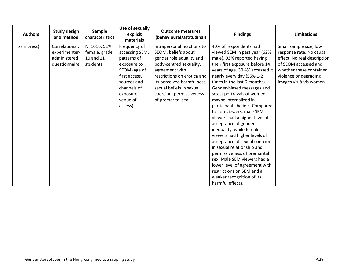| <b>Authors</b> | <b>Study design</b><br>and method | Sample<br>characteristics | Use of sexually<br>explicit<br>materials | <b>Outcome measures</b><br>(behavioural/attitudinal) | <b>Findings</b>                 | <b>Limitations</b>          |
|----------------|-----------------------------------|---------------------------|------------------------------------------|------------------------------------------------------|---------------------------------|-----------------------------|
| To (in press)  | Correlational;                    | N=1016; 51%               | Frequency of                             | Intrapersonal reactions to                           | 40% of respondents had          | Small sample size, low      |
|                | experimenter-                     | female, grade             | accessing SEM,                           | SEOM, beliefs about                                  | viewed SEM in past year (62%    | response rate. No causal    |
|                | administered                      | 10 and 11                 | patterns of                              | gender role equality and                             | male). 93% reported having      | effect. No real description |
|                | questionnaire                     | students                  | exposure to                              | body-centred sexuality,                              | their first exposure before 14  | of SEOM accessed and        |
|                |                                   |                           | SEOM (age of                             | agreement with                                       | years of age. 30.4% accessed it | whether these contained     |
|                |                                   |                           | first access,                            | restrictions on erotica and                          | nearly every day (55% 1-2       | violence or degrading       |
|                |                                   |                           | sources and                              | its perceived harmfulness,                           | times in the last 6 months).    | images vis-à-vis women.     |
|                |                                   |                           | channels of                              | sexual beliefs in sexual                             | Gender-biased messages and      |                             |
|                |                                   |                           | exposure,                                | coercion, permissiveness                             | sexist portrayals of women      |                             |
|                |                                   |                           | venue of                                 | of premarital sex.                                   | maybe internalized in           |                             |
|                |                                   |                           | access).                                 |                                                      | participants beliefs. Compared  |                             |
|                |                                   |                           |                                          |                                                      | to non-viewers, male SEM        |                             |
|                |                                   |                           |                                          |                                                      | viewers had a higher level of   |                             |
|                |                                   |                           |                                          |                                                      | acceptance of gender            |                             |
|                |                                   |                           |                                          |                                                      | inequality, while female        |                             |
|                |                                   |                           |                                          |                                                      | viewers had higher levels of    |                             |
|                |                                   |                           |                                          |                                                      | acceptance of sexual coercion   |                             |
|                |                                   |                           |                                          |                                                      | in sexual relationship and      |                             |
|                |                                   |                           |                                          |                                                      | permissiveness of premarital    |                             |
|                |                                   |                           |                                          |                                                      | sex. Male SEM viewers had a     |                             |
|                |                                   |                           |                                          |                                                      | lower level of agreement with   |                             |
|                |                                   |                           |                                          |                                                      | restrictions on SEM and a       |                             |
|                |                                   |                           |                                          |                                                      | weaker recognition of its       |                             |
|                |                                   |                           |                                          |                                                      | harmful effects.                |                             |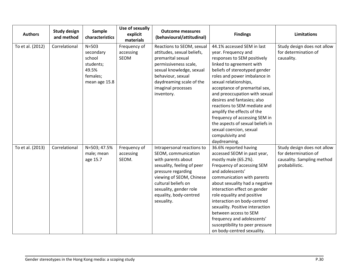| <b>Authors</b>   | <b>Study design</b><br>and method | Sample<br>characteristics                                                           | Use of sexually<br>explicit<br>materials | <b>Outcome measures</b><br>(behavioural/attitudinal)                                                                                                                                                                                             | <b>Findings</b>                                                                                                                                                                                                                                                                                                                                                                                                                                                                                           | <b>Limitations</b>                                                                                  |
|------------------|-----------------------------------|-------------------------------------------------------------------------------------|------------------------------------------|--------------------------------------------------------------------------------------------------------------------------------------------------------------------------------------------------------------------------------------------------|-----------------------------------------------------------------------------------------------------------------------------------------------------------------------------------------------------------------------------------------------------------------------------------------------------------------------------------------------------------------------------------------------------------------------------------------------------------------------------------------------------------|-----------------------------------------------------------------------------------------------------|
| To et al. (2012) | Correlational                     | $N = 503$<br>secondary<br>school<br>students;<br>49.5%<br>females;<br>mean age 15.8 | Frequency of<br>accessing<br><b>SEOM</b> | Reactions to SEOM, sexual<br>attitudes, sexual beliefs,<br>premarital sexual<br>permissiveness scale,<br>sexual knowledge, sexual<br>behaviour, sexual<br>daydreaming scale of the<br>imaginal processes<br>inventory.                           | 44.1% accessed SEM in last<br>year. Frequency and<br>responses to SEM positively<br>linked to agreement with<br>beliefs of stereotyped gender<br>roles and power imbalance in<br>sexual relationships,<br>acceptance of premarital sex,<br>and preoccupation with sexual<br>desires and fantasies; also<br>reactions to SEM mediate and<br>amplify the effects of the<br>frequency of accessing SEM in<br>the aspects of sexual beliefs in<br>sexual coercion, sexual<br>compulsivity and<br>daydreaming. | Study design does not allow<br>for determination of<br>causality.                                   |
| To et al. (2013) | Correlational                     | N=503; 47.5%<br>male; mean<br>age 15.7                                              | Frequency of<br>accessing<br>SEOM.       | Intrapersonal reactions to<br>SEOM, communication<br>with parents about<br>sexuality, feeling of peer<br>pressure regarding<br>viewing of SEOM, Chinese<br>cultural beliefs on<br>sexuality, gender role<br>equality, body-centred<br>sexuality. | 36.6% reported having<br>accessed SEOM in past year,<br>mostly male (65.2%).<br>Frequency of accessing SEM<br>and adolescents'<br>communication with parents<br>about sexuality had a negative<br>interaction effect on gender<br>role equality and positive<br>interaction on body-centred<br>sexuality. Positive interaction<br>between access to SEM<br>frequency and adolescents'<br>susceptibility to peer pressure<br>on body-centred sexuality.                                                    | Study design does not allow<br>for determination of<br>causality. Sampling method<br>probabilistic. |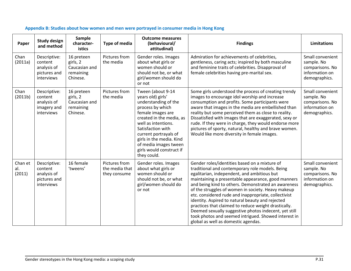<span id="page-32-0"></span>

| Paper                    | <b>Study design</b><br>and method                                    | Sample<br>character-<br>istics                                   | Type of media                                   | <b>Outcome measures</b><br>(behavioural/<br>attitudinal)                                                                                                                                                                                                                                                 | <b>Findings</b>                                                                                                                                                                                                                                                                                                                                                                                                                                                                                                                                                                                                                                | <b>Limitations</b>                                                                   |
|--------------------------|----------------------------------------------------------------------|------------------------------------------------------------------|-------------------------------------------------|----------------------------------------------------------------------------------------------------------------------------------------------------------------------------------------------------------------------------------------------------------------------------------------------------------|------------------------------------------------------------------------------------------------------------------------------------------------------------------------------------------------------------------------------------------------------------------------------------------------------------------------------------------------------------------------------------------------------------------------------------------------------------------------------------------------------------------------------------------------------------------------------------------------------------------------------------------------|--------------------------------------------------------------------------------------|
| Chan<br>(2011a)          | Descriptive:<br>content<br>analysis of<br>pictures and<br>interviews | 16 preteen<br>girls, 2<br>Caucasian and<br>remaining<br>Chinese. | Pictures from<br>the media                      | Gender roles. Images<br>about what girls or<br>women should or<br>should not be, or what<br>girl/women should do<br>or not                                                                                                                                                                               | Admiration for achievements of celebrities,<br>gentleness, caring acts; inspired by both masculine<br>and feminine traits of celebrities. Disapproval of<br>female celebrities having pre-marital sex.                                                                                                                                                                                                                                                                                                                                                                                                                                         | Small convenient<br>sample. No<br>comparisons. No<br>information on<br>demographics. |
| Chan<br>(2011b)          | Descriptive:<br>content<br>analysis of<br>imagery and<br>interviews  | 16 preteen<br>girls, 2<br>Caucasian and<br>remaining<br>Chinese. | Pictures from<br>the media                      | Tween (about 9-14<br>years old) girls'<br>understanding of the<br>process by which<br>female images are<br>created in the media, as<br>well as intentions.<br>Satisfaction with<br>current portrayals of<br>girls in the media. Kind<br>of media images tween<br>girls would construct if<br>they could. | Some girls understood the process of creating trendy<br>images to encourage idol worship and increase<br>consumption and profits. Some participants were<br>aware that images in the media are embellished than<br>reality but some perceived them as close to reality.<br>Dissatisfied with images that are exaggerated, sexy or<br>rude. If they were in charge, they would endorse more<br>pictures of sporty, natural, healthy and brave women.<br>Would like more diversity in female images.                                                                                                                                             | Small convenient<br>sample. No<br>comparisons. No<br>information on<br>demographics. |
| Chan et<br>al.<br>(2011) | Descriptive:<br>content<br>analysis of<br>pictures and<br>interviews | 16 female<br>'tweens'                                            | Pictures from<br>the media that<br>they consume | Gender roles. Images<br>about what girls or<br>women should or<br>should not be, or what<br>girl/women should do<br>or not                                                                                                                                                                               | Gender roles/identities based on a mixture of<br>traditional and contemporary role models. Being<br>egalitarian, independent, and ambitious but<br>maintaining a presentable appearance, good manners<br>and being kind to others. Demonstrated an awareness<br>of the struggles of women in society. Heavy makeup<br>etc. considered rude and inappropriate, collectivist<br>identity. Aspired to natural beauty and rejected<br>practices that claimed to reduce weight drastically.<br>Deemed sexually suggestive photos indecent, yet still<br>took photos and seemed intrigued. Showed interest in<br>global as well as domestic agendas. | Small convenient<br>sample. No<br>comparisons. No<br>information on<br>demographics. |

## **Appendix B: Studies about how women and men were portrayed in consumer media in Hong Kong**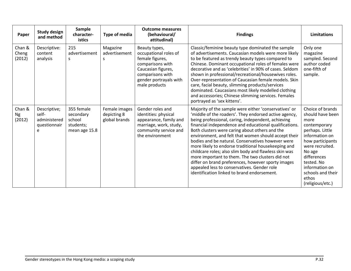| Paper                         | <b>Study design</b><br>and method                          | <b>Sample</b><br>character-<br>istics                           | <b>Type of media</b>                          | <b>Outcome measures</b><br>(behavioural/<br>attitudinal)                                                                                                           | <b>Findings</b>                                                                                                                                                                                                                                                                                                                                                                                                                                                                                                                                                                                                                                                                                                       | <b>Limitations</b>                                                                                                                                                                                                                                  |
|-------------------------------|------------------------------------------------------------|-----------------------------------------------------------------|-----------------------------------------------|--------------------------------------------------------------------------------------------------------------------------------------------------------------------|-----------------------------------------------------------------------------------------------------------------------------------------------------------------------------------------------------------------------------------------------------------------------------------------------------------------------------------------------------------------------------------------------------------------------------------------------------------------------------------------------------------------------------------------------------------------------------------------------------------------------------------------------------------------------------------------------------------------------|-----------------------------------------------------------------------------------------------------------------------------------------------------------------------------------------------------------------------------------------------------|
| Chan &<br>Cheng<br>(2012)     | Descriptive:<br>content<br>analysis                        | 215<br>advertisement<br>S                                       | Magazine<br>advertisement<br>S                | Beauty types,<br>occupational roles of<br>female figures,<br>comparisons with<br>Caucasian figures,<br>comparisons with<br>gender portrayals with<br>male products | Classic/feminine beauty type dominated the sample<br>of advertisements. Caucasian models were more likely<br>to be featured as trendy beauty types compared to<br>Chinese. Dominant occupational roles of females were<br>decorative and as 'celebrities' in 90% of cases. Seldom<br>shown in professional/recreational/housewives roles.<br>Over-representation of Caucasian female models. Skin<br>care, facial beauty, slimming products/services<br>dominated. Caucasians most likely modelled clothing<br>and accessories; Chinese slimming services. Females<br>portrayed as 'sex kittens'.                                                                                                                     | Only one<br>magazine<br>sampled. Second<br>author coded<br>one-fifth of<br>sample.                                                                                                                                                                  |
| Chan &<br><b>Ng</b><br>(2012) | Descriptive;<br>self-<br>administered<br>questionnair<br>e | 355 female<br>secondary<br>school<br>students;<br>mean age 15.8 | Female images<br>depicting 8<br>global brands | Gender roles and<br>identities: physical<br>appearance, family and<br>marriage, work, study,<br>community service and<br>the environment                           | Majority of the sample were either 'conservatives' or<br>'middle of the roaders'. They endorsed active agency,<br>being professional, caring, independent, achieving<br>financial independence and educational qualifications.<br>Both clusters were caring about others and the<br>environment, and felt that women should accept their<br>bodies and be natural. Conservatives however were<br>more likely to endorse traditional housekeeping and<br>childcare roles; also slim body and flawless skin was<br>more important to them. The two clusters did not<br>differ on brand preferences, however sporty images<br>appealed less to conservatives. Gender role<br>identification linked to brand endorsement. | Choice of brands<br>should have been<br>more<br>contemporary<br>perhaps. Little<br>information on<br>how participants<br>were recruited.<br>No age<br>differences<br>tested. No<br>information on<br>schools and their<br>ethos<br>(religious/etc.) |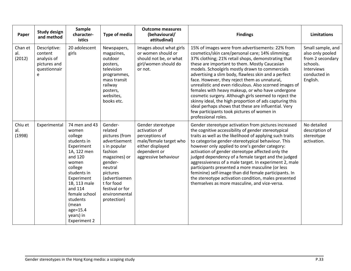| Paper                    | <b>Study design</b><br>and method                                           | <b>Sample</b><br>character-<br>istics                                                                                                                                                                                                                      | <b>Type of media</b>                                                                                                                                                                                                  | <b>Outcome measures</b><br>(behavioural/<br>attitudinal)                                                                                   | <b>Findings</b>                                                                                                                                                                                                                                                                                                                                                                                                                                                                                                                                                                                                                                                                                                                         | <b>Limitations</b>                                                                                                     |
|--------------------------|-----------------------------------------------------------------------------|------------------------------------------------------------------------------------------------------------------------------------------------------------------------------------------------------------------------------------------------------------|-----------------------------------------------------------------------------------------------------------------------------------------------------------------------------------------------------------------------|--------------------------------------------------------------------------------------------------------------------------------------------|-----------------------------------------------------------------------------------------------------------------------------------------------------------------------------------------------------------------------------------------------------------------------------------------------------------------------------------------------------------------------------------------------------------------------------------------------------------------------------------------------------------------------------------------------------------------------------------------------------------------------------------------------------------------------------------------------------------------------------------------|------------------------------------------------------------------------------------------------------------------------|
| Chan et<br>al.<br>(2012) | Descriptive:<br>content<br>analysis of<br>pictures and<br>questionnair<br>e | 20 adolescent<br>girls                                                                                                                                                                                                                                     | Newspapers,<br>magazines,<br>outdoor<br>posters,<br>television<br>programmes,<br>mass transit<br>railway<br>posters,<br>websites,<br>books etc.                                                                       | Images about what girls<br>or women should or<br>should not be, or what<br>girl/women should do<br>or not.                                 | 15% of images were from advertisements: 22% from<br>cosmetics/skin care/personal care; 14% slimming;<br>37% clothing; 21% retail shops, demonstrating that<br>these are important to them. Mostly Caucasian<br>models. Schoolgirls mostly drawn to commercials<br>advertising a slim body, flawless skin and a perfect<br>face. However, they reject them as unnatural,<br>unrealistic and even ridiculous. Also scorned images of<br>females with heavy makeup, or who have undergone<br>cosmetic surgery. Although girls seemed to reject the<br>skinny ideal, the high proportion of ads capturing this<br>ideal perhaps shows that these are influential. Very<br>few participants took pictures of women in<br>professional roles. | Small sample, and<br>also only pooled<br>from 2 secondary<br>schools.<br><b>Interviews</b><br>conducted in<br>English. |
| Chiu et<br>al.<br>(1998) | Experimental                                                                | 74 men and 43<br>women<br>college<br>students in<br>Experiment<br>1A, 122 men<br>and 120<br>women<br>college<br>students in<br>Experiment<br>1B, 113 male<br>and 114<br>female school<br>students<br>(mean<br>age=15.4<br>years) in<br><b>Experiment 2</b> | Gender-<br>related<br>pictures (from<br>advertisement<br>s in popular<br>fashion<br>magazines) or<br>gender-<br>neutral<br>pictures<br>(advertisemen<br>t for food<br>festival or for<br>environmental<br>protection) | Gender stereotype<br>activation of<br>perceptions of<br>male/female target who<br>either displayed<br>dependent or<br>aggressive behaviour | Gender stereotype activation from pictures increased<br>the cognitive accessibility of gender stereotypical<br>traits as well as the likelihood of applying such traits<br>to categorise gender-stereotypical behaviour. This<br>however only applied to one's gender category:<br>activation of gender stereotype affected only the<br>judged dependency of a female target and the judged<br>aggressiveness of a male target. In experiment 2, male<br>participants presented a more masculine (or less<br>feminine) self-image than did female participants. In<br>the stereotype activation condition, males presented<br>themselves as more masculine, and vice-versa.                                                             | No detailed<br>description of<br>stereotype<br>activation.                                                             |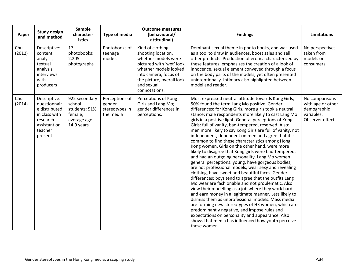| Paper         | <b>Study design</b><br>and method                                                                                | Sample<br>character-<br>istics                                                   | Type of media                                           | <b>Outcome measures</b><br>(behavioural/<br>attitudinal)                                                                                                                                                   | <b>Findings</b>                                                                                                                                                                                                                                                                                                                                                                                                                                                                                                                                                                                                                                                                                                                                                                                                                                                                                                                                                                                                                                                                                                                                                                                                                                                                                                                                              | <b>Limitations</b>                                                                   |
|---------------|------------------------------------------------------------------------------------------------------------------|----------------------------------------------------------------------------------|---------------------------------------------------------|------------------------------------------------------------------------------------------------------------------------------------------------------------------------------------------------------------|--------------------------------------------------------------------------------------------------------------------------------------------------------------------------------------------------------------------------------------------------------------------------------------------------------------------------------------------------------------------------------------------------------------------------------------------------------------------------------------------------------------------------------------------------------------------------------------------------------------------------------------------------------------------------------------------------------------------------------------------------------------------------------------------------------------------------------------------------------------------------------------------------------------------------------------------------------------------------------------------------------------------------------------------------------------------------------------------------------------------------------------------------------------------------------------------------------------------------------------------------------------------------------------------------------------------------------------------------------------|--------------------------------------------------------------------------------------|
| Chu<br>(2012) | Descriptive:<br>content<br>analysis,<br>textual<br>analysis,<br>interviews<br>with<br>producers                  | 17<br>photobooks;<br>2,205<br>photographs                                        | Photobooks of<br>teenage<br>models                      | Kind of clothing,<br>shooting location,<br>whether models were<br>pictured with 'wet' look,<br>whether models looked<br>into camera, focus of<br>the picture, overall look,<br>and sexual<br>connotations. | Dominant sexual theme in photo books, and was used<br>as a tool to draw in audiences, boost sales and sell<br>other products. Production of erotica characterized by<br>these features: emphasizes the creation of a look of<br>innocence, sexual element conveyed through a focus<br>on the body parts of the models, yet often presented<br>unintentionally. Intimacy also highlighted between<br>model and reader.                                                                                                                                                                                                                                                                                                                                                                                                                                                                                                                                                                                                                                                                                                                                                                                                                                                                                                                                        | No perspectives<br>taken from<br>models or<br>consumers.                             |
| Chu<br>(2014) | Descriptive:<br>questionnair<br>e distributed<br>in class with<br>research<br>assistant or<br>teacher<br>present | 922 secondary<br>school<br>students; 51%<br>female;<br>average age<br>14.9 years | Perceptions of<br>gender<br>stereotypes in<br>the media | Perceptions of Kong<br>Girls and Lang Mo;<br>gender differences in<br>perceptions.                                                                                                                         | Most expressed neutral attitude towards Kong Girls;<br>50% found the term Lang Mo positive. Gender<br>differences: for Kong Girls, more girls took a neutral<br>stance; male respondents more likely to cast Lang Mo<br>girls in a positive light. General perceptions of Kong<br>Girls: full of vanity, bad-tempered, reserved. Also:<br>men more likely to say Kong Girls are full of vanity, not<br>independent, dependent on men and agree that it is<br>common to find these characteristics among Hong<br>Kong women. Girls on the other hand, were more<br>likely to disagree that Kong girls were bad-tempered,<br>and had an outgoing personality. Lang Mo women<br>general perceptions: young, have gorgeous bodies,<br>are not professional models, wear sexy and revealing<br>clothing, have sweet and beautiful faces. Gender<br>differences: boys tend to agree that the outfits Lang<br>Mo wear are fashionable and not problematic. Also<br>view their modelling as a job where they work hard<br>and earn money in a legitimate manner. Less likely to<br>dismiss them as unprofessional models. Mass media<br>are forming new stereotypes of HK women, which are<br>predominantly negative, and impose rules and<br>expectations on personality and appearance. Also<br>shows that media has influenced how youth perceive<br>these women. | No comparisons<br>with age or other<br>demographic<br>variables.<br>Observer effect. |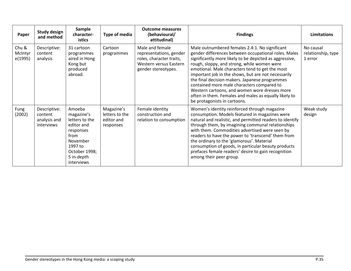| Paper                       | <b>Study design</b><br>and method                            | <b>Sample</b><br>character-<br><b>istics</b>                                                                                                  | Type of media                                           | <b>Outcome measures</b><br>(behavioural/<br>attitudinal)                                                                | <b>Findings</b>                                                                                                                                                                                                                                                                                                                                                                                                                                                                                                                                                      | Limitations                                |
|-----------------------------|--------------------------------------------------------------|-----------------------------------------------------------------------------------------------------------------------------------------------|---------------------------------------------------------|-------------------------------------------------------------------------------------------------------------------------|----------------------------------------------------------------------------------------------------------------------------------------------------------------------------------------------------------------------------------------------------------------------------------------------------------------------------------------------------------------------------------------------------------------------------------------------------------------------------------------------------------------------------------------------------------------------|--------------------------------------------|
| Chu &<br>McIntyr<br>e(1995) | Descriptive:<br>content<br>analysis                          | 31 cartoon<br>programmes<br>aired in Hong<br>Kong but<br>produced<br>abroad.                                                                  | Cartoon<br>programmes                                   | Male and female<br>representations, gender<br>roles, character traits,<br>Western versus Eastern<br>gender stereotypes. | Male outnumbered females 2.4:1. No significant<br>gender differences between occupational roles. Males<br>significantly more likely to be depicted as aggressive,<br>rough, sloppy, and strong, while women were<br>emotional. Male characters tend to get the most<br>important job in the shows, but are not necessarily<br>the final decision makers. Japanese programmes<br>contained more male characters compared to<br>Western cartoons, and women wore dresses more<br>often in them. Females and males as equally likely to<br>be protagonists in cartoons. | No causal<br>relationship, type<br>1 error |
| Fung<br>(2002)              | Descriptive:<br>content<br>analysis and<br><i>interviews</i> | Amoeba<br>magazine's<br>letters to the<br>editor and<br>responses<br>from<br>November<br>1997 to<br>October 1998;<br>5 in-depth<br>interviews | Magazine's<br>letters to the<br>editor and<br>responses | Female identity<br>construction and<br>relation to consumption                                                          | Women's identity reinforced through magazine<br>consumption. Models featured in magazines were<br>natural and realistic, and permitted readers to identify<br>through them, by imagining communal relationships<br>with them. Commodities advertised were seen by<br>readers to have the power to 'transcend' them from<br>the ordinary to the 'glamorous'. Material<br>consumption of goods, in particular beauty products<br>prefaces female readers' desire to gain recognition<br>among their peer group.                                                        | Weak study<br>design                       |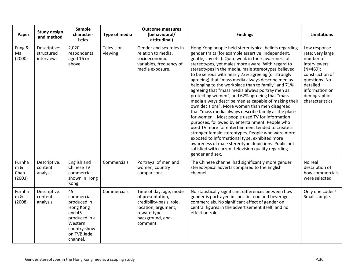| Paper                           | <b>Study design</b><br>and method        | Sample<br>character-<br>istics                                                                                                   | Type of media         | <b>Outcome measures</b><br>(behavioural/<br>attitudinal)                                                                                      | <b>Findings</b>                                                                                                                                                                                                                                                                                                                                                                                                                                                                                                                                                                                                                                                                                                                                                                                                                                                                                                                                                                                                                                                                                                          | <b>Limitations</b>                                                                                                                                                              |
|---------------------------------|------------------------------------------|----------------------------------------------------------------------------------------------------------------------------------|-----------------------|-----------------------------------------------------------------------------------------------------------------------------------------------|--------------------------------------------------------------------------------------------------------------------------------------------------------------------------------------------------------------------------------------------------------------------------------------------------------------------------------------------------------------------------------------------------------------------------------------------------------------------------------------------------------------------------------------------------------------------------------------------------------------------------------------------------------------------------------------------------------------------------------------------------------------------------------------------------------------------------------------------------------------------------------------------------------------------------------------------------------------------------------------------------------------------------------------------------------------------------------------------------------------------------|---------------------------------------------------------------------------------------------------------------------------------------------------------------------------------|
| Fung &<br>Ma<br>(2000)          | Descriptive:<br>structured<br>interviews | 2,020<br>respondents<br>aged 16 or<br>above                                                                                      | Television<br>viewing | Gender and sex roles in<br>relation to media,<br>socioeconomic<br>variables, frequency of<br>media exposure.                                  | Hong Kong people held stereotypical beliefs regarding<br>gender traits (for example assertive, independent,<br>gentle, shy etc.). Quite weak in their awareness of<br>stereotypes, yet males more aware. With regard to<br>stereotypes in the media, male stereotypes believed<br>to be serious with nearly 73% agreeing (or strongly<br>agreeing) that "mass media always describe men as<br>belonging to the workplace than to family" and 71%<br>agreeing that "mass media always portray men as<br>protecting women", and 62% agreeing that "mass<br>media always describe men as capable of making their<br>own decisions". More women than men disagreed<br>that "mass media always describe family as the place<br>for women". Most people used TV for information<br>purposes, followed by entertainment. People who<br>used TV more for entertainment tended to create a<br>stronger female stereotypes. People who were more<br>exposed to informational type, exhibited more<br>awareness of male stereotype depictions. Public not<br>satisfied with current television quality regarding<br>gender and sex. | Low response<br>rate; very large<br>number of<br>interviewers<br>$(N=469);$<br>construction of<br>questions. No<br>detailed<br>information on<br>demographic<br>characteristics |
| Furnha<br>m &<br>Chan<br>(2003) | Descriptive:<br>content<br>analysis      | English and<br>Chinese TV<br>commercials<br>shown in Hong<br>Kong                                                                | Commercials           | Portrayal of men and<br>women; country<br>comparisons                                                                                         | The Chinese channel had significantly more gender<br>stereotypical adverts compared to the English<br>channel.                                                                                                                                                                                                                                                                                                                                                                                                                                                                                                                                                                                                                                                                                                                                                                                                                                                                                                                                                                                                           | No real<br>description of<br>how commercials<br>were selected                                                                                                                   |
| Furnha<br>m & Li<br>(2008)      | Descriptive:<br>content<br>analysis      | 45<br>commercials<br>produced in<br>Hong Kong<br>and $45$<br>produced in a<br>Western<br>country show<br>on TVB Jade<br>channel. | Commercials           | Time of day, age, mode<br>of presentation,<br>credibility-basis, role,<br>location, argument,<br>reward type,<br>background, end-<br>comment. | No statistically significant differences between how<br>gender is portrayed in specific food and beverage<br>commercials. No significant effect of gender on<br>central figures in the advertisement itself, and no<br>effect on role.                                                                                                                                                                                                                                                                                                                                                                                                                                                                                                                                                                                                                                                                                                                                                                                                                                                                                   | Only one coder?<br>Small sample.                                                                                                                                                |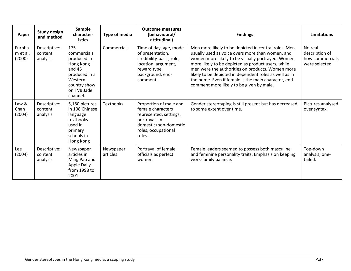| Paper                        | <b>Study design</b><br>and method   | <b>Sample</b><br>character-<br>istics                                                                                             | Type of media         | <b>Outcome measures</b><br>(behavioural/<br>attitudinal)                                                                                         | <b>Findings</b>                                                                                                                                                                                                                                                                                                                                                                                                                      | <b>Limitations</b>                                            |
|------------------------------|-------------------------------------|-----------------------------------------------------------------------------------------------------------------------------------|-----------------------|--------------------------------------------------------------------------------------------------------------------------------------------------|--------------------------------------------------------------------------------------------------------------------------------------------------------------------------------------------------------------------------------------------------------------------------------------------------------------------------------------------------------------------------------------------------------------------------------------|---------------------------------------------------------------|
| Furnha<br>m et al.<br>(2000) | Descriptive:<br>content<br>analysis | 175<br>commercials<br>produced in<br>Hong Kong<br>and $45$<br>produced in a<br>Western<br>country show<br>on TVB Jade<br>channel. | Commercials           | Time of day, age, mode<br>of presentation,<br>credibility-basis, role,<br>location, argument,<br>reward type,<br>background, end-<br>comment.    | Men more likely to be depicted in central roles. Men<br>usually used as voice overs more than women, and<br>women more likely to be visually portrayed. Women<br>more likely to be depicted as product users, while<br>men were the authorities on products. Women more<br>likely to be depicted in dependent roles as well as in<br>the home. Even if female is the main character, end<br>comment more likely to be given by male. | No real<br>description of<br>how commercials<br>were selected |
| Law &<br>Chan<br>(2004)      | Descriptive:<br>content<br>analysis | 5,180 pictures<br>in 108 Chinese<br>language<br>textbooks<br>used in<br>primary<br>schools in<br>Hong Kong                        | <b>Textbooks</b>      | Proportion of male and<br>female characters<br>represented, settings,<br>portrayals in<br>domestic/non-domestic<br>roles, occupational<br>roles. | Gender stereotyping is still present but has decreased<br>to some extent over time.                                                                                                                                                                                                                                                                                                                                                  | Pictures analysed<br>over syntax.                             |
| Lee<br>(2004)                | Descriptive:<br>content<br>analysis | Newspaper<br>articles in<br>Ming Pao and<br>Apple Daily<br>from 1998 to<br>2001                                                   | Newspaper<br>articles | Portrayal of female<br>officials as perfect<br>women.                                                                                            | Female leaders seemed to possess both masculine<br>and feminine personality traits. Emphasis on keeping<br>work-family balance.                                                                                                                                                                                                                                                                                                      | Top-down<br>analysis; one-<br>tailed.                         |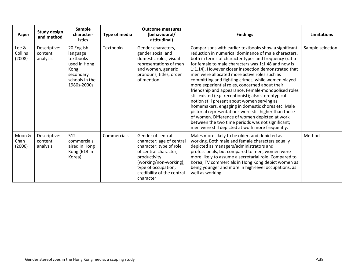| Paper                      | <b>Study design</b><br>and method   | <b>Sample</b><br>character-<br><b>istics</b>                                                              | Type of media    | <b>Outcome measures</b><br>(behavioural/<br>attitudinal)                                                                                                                                                       | <b>Findings</b>                                                                                                                                                                                                                                                                                                                                                                                                                                                                                                                                                                                                                                                                                                                                                                                                                                                                        | <b>Limitations</b> |
|----------------------------|-------------------------------------|-----------------------------------------------------------------------------------------------------------|------------------|----------------------------------------------------------------------------------------------------------------------------------------------------------------------------------------------------------------|----------------------------------------------------------------------------------------------------------------------------------------------------------------------------------------------------------------------------------------------------------------------------------------------------------------------------------------------------------------------------------------------------------------------------------------------------------------------------------------------------------------------------------------------------------------------------------------------------------------------------------------------------------------------------------------------------------------------------------------------------------------------------------------------------------------------------------------------------------------------------------------|--------------------|
| Lee &<br>Collins<br>(2008) | Descriptive:<br>content<br>analysis | 20 English<br>language<br>textbooks<br>used in Hong<br>Kong<br>secondary<br>schools in the<br>1980s-2000s | <b>Textbooks</b> | Gender characters,<br>gender social and<br>domestic roles, visual<br>representations of men<br>and women, generic<br>pronouns, titles, order<br>of mention                                                     | Comparisons with earlier textbooks show a significant<br>reduction in numerical dominance of male characters,<br>both in terms of character types and frequency (ratio<br>for female to male characters was 1:1.48 and now is<br>1:1.14). However closer inspection demonstrated that<br>men were allocated more active roles such as<br>committing and fighting crimes, while women played<br>more experiential roles, concerned about their<br>friendship and appearance. Female-monopolised roles<br>still existed (e.g. receptionist); also stereotypical<br>notion still present about women serving as<br>homemakers, engaging in domestic chores etc. Male<br>pictorial representations were still higher than those<br>of women. Difference of women depicted at work<br>between the two time periods was not significant;<br>men were still depicted at work more frequently. | Sample selection   |
| Moon &<br>Chan<br>(2006)   | Descriptive:<br>content<br>analysis | 512<br>commercials<br>aired in Hong<br>Kong (613 in<br>Korea)                                             | Commercials      | Gender of central<br>character; age of central<br>character; type of role<br>of central character;<br>productivity<br>(working/non-working);<br>type of occupation;<br>credibility of the central<br>character | Males more likely to be older, and depicted as<br>working. Both male and female characters equally<br>depicted as managers/administrators and<br>professionals, but compared to men, women were<br>more likely to assume a secretarial role. Compared to<br>Korea, TV commercials in Hong Kong depict women as<br>being younger and more in high-level occupations, as<br>well as working.                                                                                                                                                                                                                                                                                                                                                                                                                                                                                             | Method             |